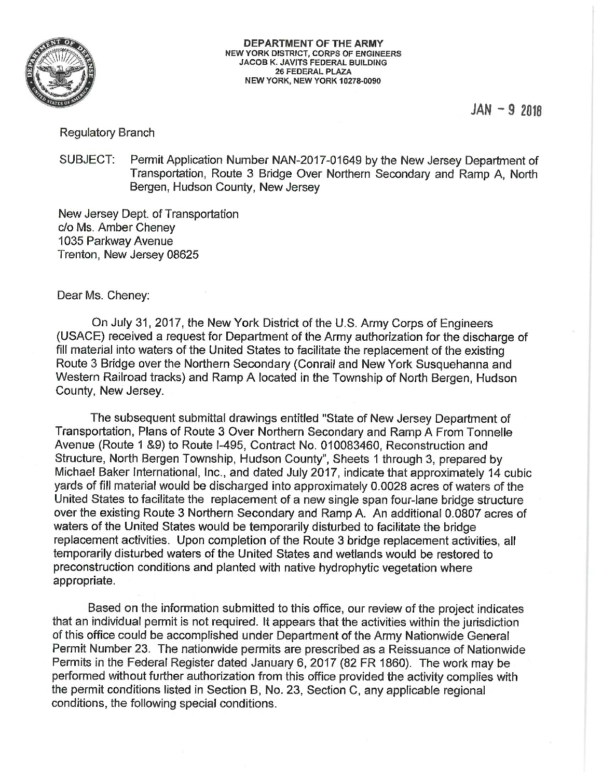

 $JAN - 92918$ 

# **Regulatory Branch**

SUBJECT: Permit Application Number NAN-2017-01649 by the New Jersey Department of Transportation, Route 3 Bridge Over Northern Secondary and Ramp A. North Bergen, Hudson County, New Jersey

New Jersey Dept. of Transportation c/o Ms. Amber Cheney 1035 Parkway Avenue Trenton, New Jersey 08625

Dear Ms. Cheney:

On July 31, 2017, the New York District of the U.S. Army Corps of Engineers (USACE) received a request for Department of the Army authorization for the discharge of fill material into waters of the United States to facilitate the replacement of the existing Route 3 Bridge over the Northern Secondary (Conrail and New York Susquehanna and Western Railroad tracks) and Ramp A located in the Township of North Bergen, Hudson County, New Jersey.

The subsequent submittal drawings entitled "State of New Jersey Department of Transportation, Plans of Route 3 Over Northern Secondary and Ramp A From Tonnelle Avenue (Route 1 &9) to Route I-495, Contract No. 010083460, Reconstruction and Structure, North Bergen Township, Hudson County", Sheets 1 through 3, prepared by Michael Baker International, Inc., and dated July 2017, indicate that approximately 14 cubic yards of fill material would be discharged into approximately 0.0028 acres of waters of the United States to facilitate the replacement of a new single span four-lane bridge structure over the existing Route 3 Northern Secondary and Ramp A. An additional 0.0807 acres of waters of the United States would be temporarily disturbed to facilitate the bridge replacement activities. Upon completion of the Route 3 bridge replacement activities, all temporarily disturbed waters of the United States and wetlands would be restored to preconstruction conditions and planted with native hydrophytic vegetation where appropriate.

Based on the information submitted to this office, our review of the project indicates that an individual permit is not required. It appears that the activities within the jurisdiction of this office could be accomplished under Department of the Army Nationwide General Permit Number 23. The nationwide permits are prescribed as a Reissuance of Nationwide Permits in the Federal Register dated January 6, 2017 (82 FR 1860). The work may be performed without further authorization from this office provided the activity complies with the permit conditions listed in Section B, No. 23, Section C, any applicable regional conditions, the following special conditions.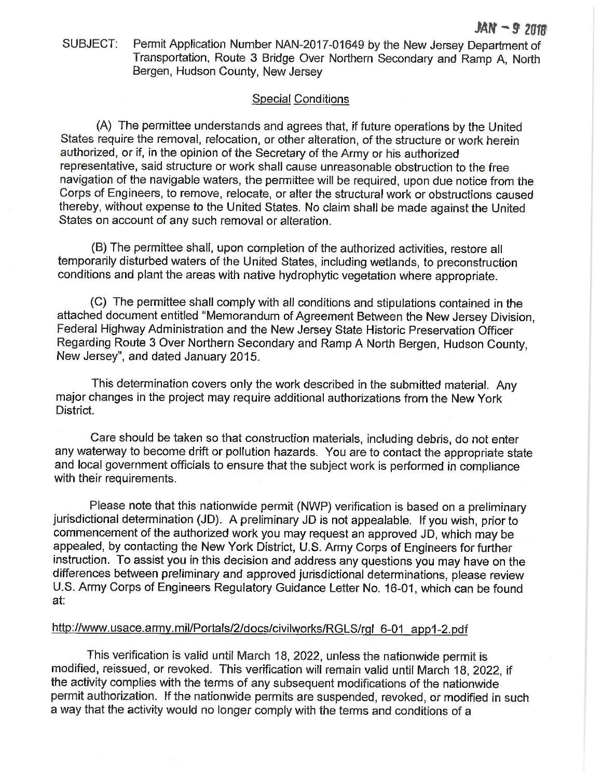SUBJECT: Permit Application Number NAN-2017-01649 by the New Jersey Department of Transportation, Route 3 Bridge Over Northern Secondary and Ramp A. North Bergen, Hudson County, New Jersey

# **Special Conditions**

(A) The permittee understands and agrees that, if future operations by the United States require the removal, relocation, or other alteration, of the structure or work herein authorized, or if, in the opinion of the Secretary of the Army or his authorized representative, said structure or work shall cause unreasonable obstruction to the free navigation of the navigable waters, the permittee will be required, upon due notice from the Corps of Engineers, to remove, relocate, or alter the structural work or obstructions caused thereby, without expense to the United States. No claim shall be made against the United States on account of any such removal or alteration.

(B) The permittee shall, upon completion of the authorized activities, restore all temporarily disturbed waters of the United States, including wetlands, to preconstruction conditions and plant the areas with native hydrophytic vegetation where appropriate.

(C) The permittee shall comply with all conditions and stipulations contained in the attached document entitled "Memorandum of Agreement Between the New Jersey Division. Federal Highway Administration and the New Jersey State Historic Preservation Officer Regarding Route 3 Over Northern Secondary and Ramp A North Bergen, Hudson County, New Jersey", and dated January 2015.

This determination covers only the work described in the submitted material. Any major changes in the project may require additional authorizations from the New York District.

Care should be taken so that construction materials, including debris, do not enter any waterway to become drift or pollution hazards. You are to contact the appropriate state and local government officials to ensure that the subject work is performed in compliance with their requirements.

Please note that this nationwide permit (NWP) verification is based on a preliminary jurisdictional determination (JD). A preliminary JD is not appealable. If you wish, prior to commencement of the authorized work you may request an approved JD, which may be appealed, by contacting the New York District, U.S. Army Corps of Engineers for further instruction. To assist you in this decision and address any questions you may have on the differences between preliminary and approved jurisdictional determinations, please review U.S. Army Corps of Engineers Regulatory Guidance Letter No. 16-01, which can be found at:

# http://www.usace.army.mil/Portals/2/docs/civilworks/RGLS/rgl 6-01 app1-2.pdf

This verification is valid until March 18, 2022, unless the nationwide permit is modified, reissued, or revoked. This verification will remain valid until March 18, 2022, if the activity complies with the terms of any subsequent modifications of the nationwide permit authorization. If the nationwide permits are suspended, revoked, or modified in such a way that the activity would no longer comply with the terms and conditions of a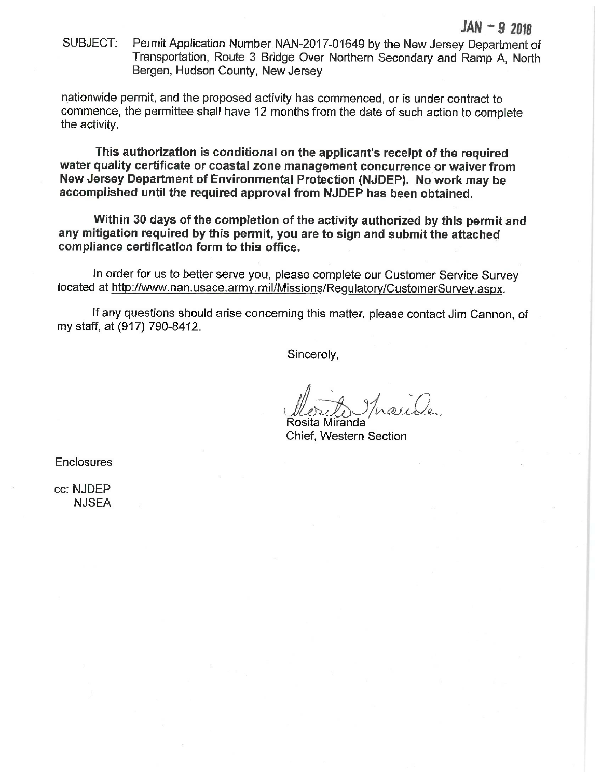Permit Application Number NAN-2017-01649 by the New Jersey Department of SUBJECT: Transportation, Route 3 Bridge Over Northern Secondary and Ramp A. North Bergen, Hudson County, New Jersey

nationwide permit, and the proposed activity has commenced, or is under contract to commence, the permittee shall have 12 months from the date of such action to complete the activity.

This authorization is conditional on the applicant's receipt of the required water quality certificate or coastal zone management concurrence or waiver from New Jersey Department of Environmental Protection (NJDEP). No work may be accomplished until the required approval from NJDEP has been obtained.

Within 30 days of the completion of the activity authorized by this permit and any mitigation required by this permit, you are to sign and submit the attached compliance certification form to this office.

In order for us to better serve you, please complete our Customer Service Survey located at http://www.nan.usace.army.mil/Missions/Regulatory/CustomerSurvey.aspx.

If any questions should arise concerning this matter, please contact Jim Cannon, of my staff, at (917) 790-8412.

Sincerely,

Rosita Miranda Chief, Western Section

**Enclosures** 

cc: NJDEP **NJSEA**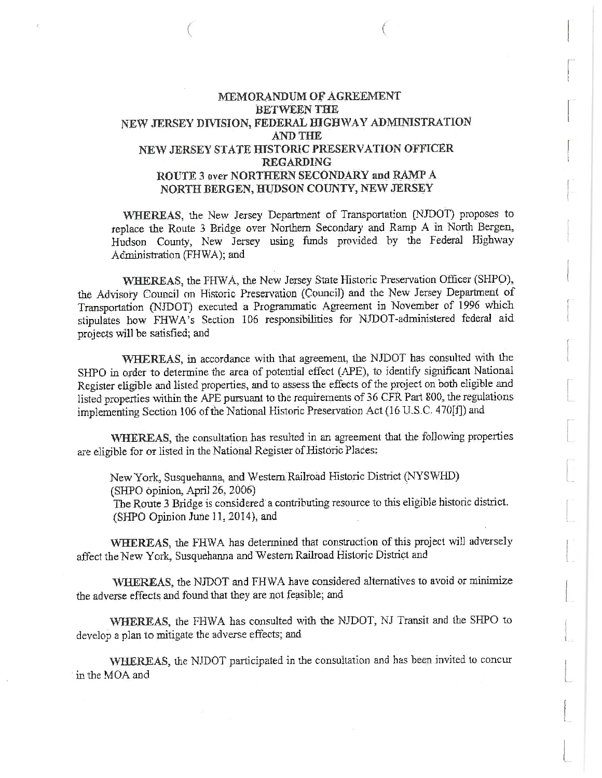# MEMORANDUM OF AGREEMENT **BETWEEN THE** NEW JERSEY DIVISION, FEDERAL HIGHWAY ADMINISTRATION **AND THE** NEW JERSEY STATE HISTORIC PRESERVATION OFFICER **REGARDING** ROUTE 3 over NORTHERN SECONDARY and RAMP A NORTH BERGEN, HUDSON COUNTY, NEW JERSEY

WHEREAS, the New Jersey Department of Transportation (NJDOT) proposes to replace the Route 3 Bridge over Northern Secondary and Ramp A in North Bergen, Hudson County, New Jersey using funds provided by the Federal Highway Administration (FHWA); and

WHEREAS, the FHWA, the New Jersey State Historic Preservation Officer (SHPO), the Advisory Council on Historic Preservation (Council) and the New Jersey Department of Transportation (NJDOT) executed a Programmatic Agreement in November of 1996 which stipulates how FHWA's Section 106 responsibilities for NJDOT-administered federal aid projects will be satisfied; and

WHEREAS, in accordance with that agreement, the NJDOT has consulted with the SHPO in order to determine the area of potential effect (APE), to identify significant National Register eligible and listed properties, and to assess the effects of the project on both eligible and listed properties within the APE pursuant to the requirements of 36 CFR Part 800, the regulations implementing Section 106 of the National Historic Preservation Act (16 U.S.C. 470[f]) and

WHEREAS, the consultation has resulted in an agreement that the following properties are eligible for or listed in the National Register of Historic Places:

New York, Susquehanna, and Western Railroad Historic District (NYSWHD)  $(SHPO$  opinion, April 26, 2006) The Route 3 Bridge is considered a contributing resource to this eligible historic district.

(SHPO Opinion June 11, 2014), and

WHEREAS, the FHWA has determined that construction of this project will adversely affect the New York, Susquehanna and Western Railroad Historic District and

WHEREAS, the NJDOT and FHWA have considered alternatives to avoid or minimize the adverse effects and found that they are not feasible; and

WHEREAS, the FHWA has consulted with the NJDOT, NJ Transit and the SHPO to develop a plan to mitigate the adverse effects; and

WHEREAS, the NJDOT participated in the consultation and has been invited to concurin the MOA and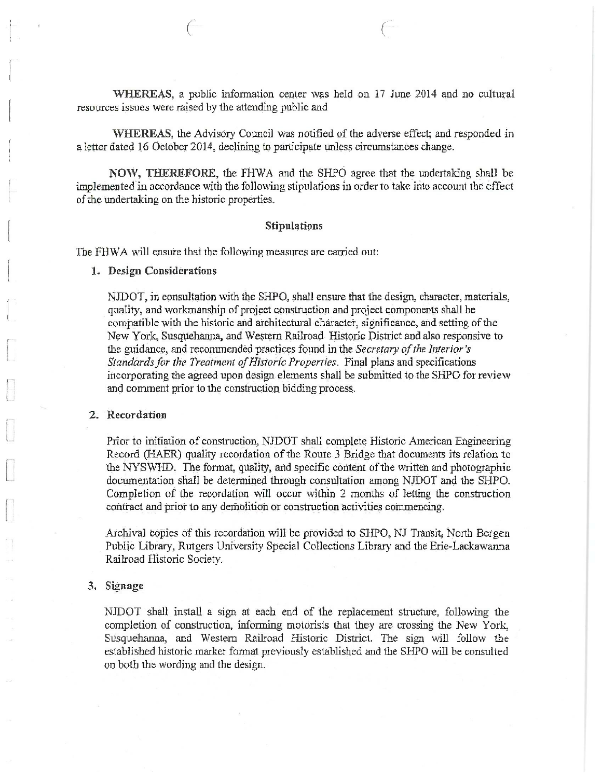WHEREAS, a public information center was held on 17 June 2014 and no cultural resources issues were raised by the attending public and

WHEREAS, the Advisory Council was notified of the adverse effect; and responded in a letter dated 16 October 2014, declining to participate unless circumstances change.

NOW, THEREFORE, the FHWA and the SHPO agree that the undertaking shall be implemented in accordance with the following stipulations in order to take into account the effect of the undertaking on the historic properties.

### **Stipulations**

The FHWA will ensure that the following measures are carried out:

1. Design Considerations

NJDOT, in consultation with the SHPO, shall ensure that the design, character, materials, quality, and workmanship of project construction and project components shall be compatible with the historic and architectural character, significance, and setting of the New York, Susquehanna, and Western Railroad. Historic District and also responsive to the guidance, and recommended practices found in the Secretary of the Interior's Standards for the Treatment of Historic Properties. Final plans and specifications incorporating the agreed upon design elements shall be submitted to the SHPO for review and comment prior to the construction bidding process.

### 2. Recordation

Prior to initiation of construction, NJDOT shall complete Historic American Engineering Record (HAER) quality recordation of the Route 3 Bridge that documents its relation to the NYSWHD. The format, quality, and specific content of the written and photographic documentation shall be determined through consultation among NJDOT and the SHPO. Completion of the recordation will occur within 2 months of letting the construction contract and prior to any demolition or construction activities commencing.

Archival copies of this recordation will be provided to SHPO, NJ Transit, North Bergen Public Library, Rutgers University Special Collections Library and the Erie-Lackawanna Railroad Historic Society.

### 3. Signage

NJDOT shall install a sign at each end of the replacement structure, following the completion of construction, informing motorists that they are crossing the New York, Susquehanna, and Western Railroad Historic District. The sign will follow the established historic marker format previously established and the SHPO will be consulted on both the wording and the design.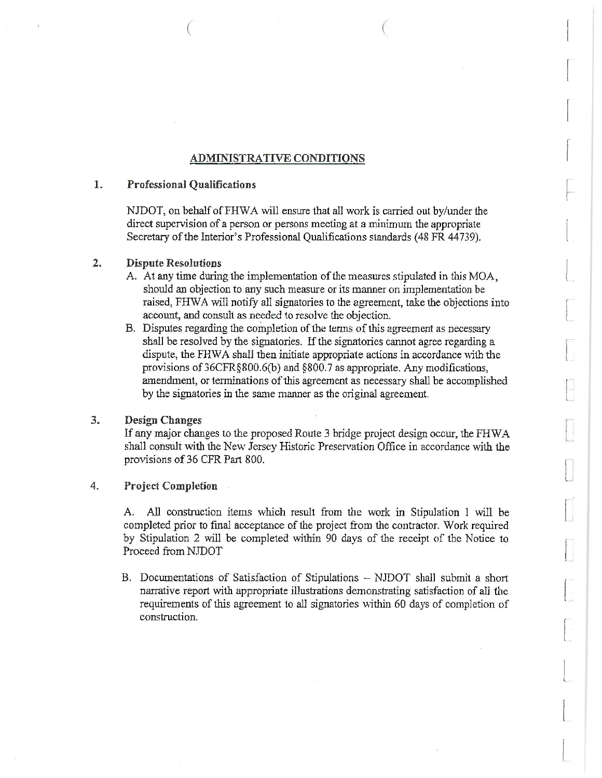# **ADMINISTRATIVE CONDITIONS**

#### $1.$ Professional Oualifications

NJDOT, on behalf of FHWA will ensure that all work is carried out by/under the direct supervision of a person or persons meeting at a minimum the appropriate Secretary of the Interior's Professional Qualifications standards (48 FR 44739).

### $2.$ **Dispute Resolutions**

- A. At any time during the implementation of the measures stipulated in this MOA, should an objection to any such measure or its manner on implementation be raised. FHWA will notify all signatories to the agreement, take the objections into account, and consult as needed to resolve the objection.
- B. Disputes regarding the completion of the terms of this agreement as necessary shall be resolved by the signatories. If the signatories cannot agree regarding a dispute, the FHWA shall then initiate appropriate actions in accordance with the provisions of 36CFR§800.6(b) and §800.7 as appropriate. Any modifications, amendment, or terminations of this agreement as necessary shall be accomplished by the signatories in the same manner as the original agreement.

### 3. **Design Changes**

If any major changes to the proposed Route 3 bridge project design occur, the FHWA shall consult with the New Jersey Historic Preservation Office in accordance with the provisions of 36 CFR Part 800.

### 4. **Project Completion**

A. All construction items which result from the work in Stipulation 1 will be completed prior to final acceptance of the project from the contractor. Work required by Stipulation 2 will be completed within 90 days of the receipt of the Notice to Proceed from NJDOT

B. Documentations of Satisfaction of Stipulations - NJDOT shall submit a short narrative report with appropriate illustrations demonstrating satisfaction of all the requirements of this agreement to all signatories within 60 days of completion of construction.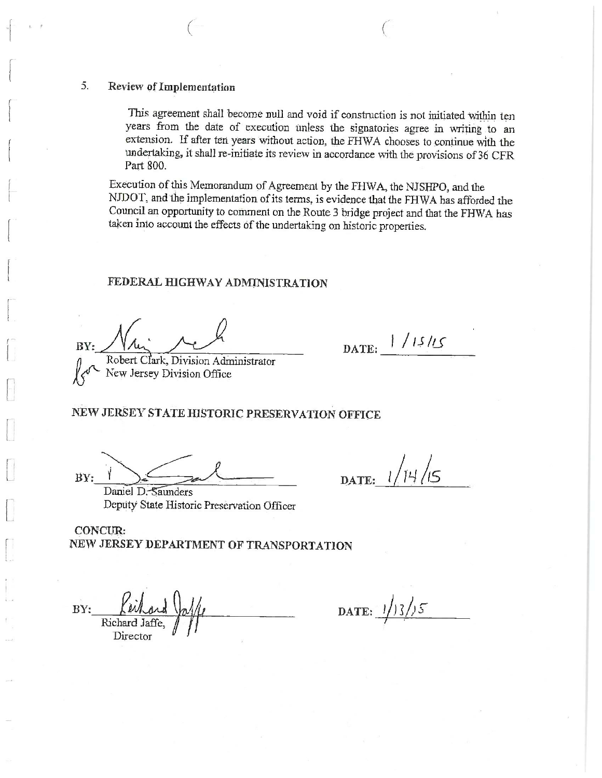### 5. Review of Implementation

This agreement shall become null and void if construction is not initiated within ten years from the date of execution unless the signatories agree in writing to an extension. If after ten years without action, the FHWA chooses to continue with the undertaking, it shall re-initiate its review in accordance with the provisions of 36 CFR Part 800.

Execution of this Memorandum of Agreement by the FHWA, the NJSHPO, and the NJDOT, and the implementation of its terms, is evidence that the FHWA has afforded the Council an opportunity to comment on the Route 3 bridge project and that the FHWA has taken into account the effects of the undertaking on historic properties.

## FEDERAL HIGHWAY ADMINISTRATION

RV:

Robert Clark, Division Administrator New Jersey Division Office

DATE: 1/15/15

# NEW JERSEY STATE HISTORIC PRESERVATION OFFICE

BY:

 $1/14/15$ DATE:

Daniel D. Saunders Deputy State Historic Preservation Officer

CONCUR. NEW JERSEY DEPARTMENT OF TRANSPORTATION

BY: Director

DATE:  $1/3/5$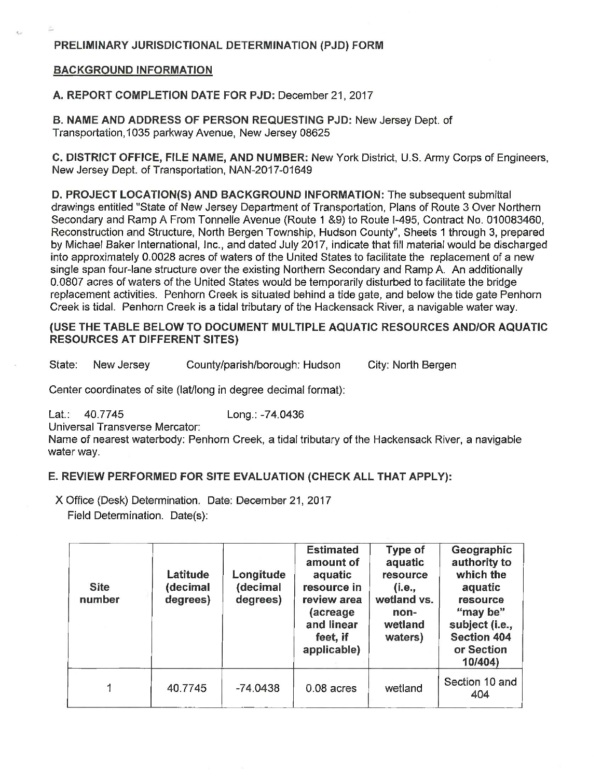# **BACKGROUND INFORMATION**

A. REPORT COMPLETION DATE FOR PJD: December 21, 2017

B. NAME AND ADDRESS OF PERSON REQUESTING PJD: New Jersey Dept. of Transportation 1035 parkway Avenue. New Jersey 08625

C. DISTRICT OFFICE, FILE NAME, AND NUMBER: New York District, U.S. Army Corps of Engineers, New Jersey Dept. of Transportation, NAN-2017-01649

D. PROJECT LOCATION(S) AND BACKGROUND INFORMATION: The subsequent submittal drawings entitled "State of New Jersey Department of Transportation. Plans of Route 3 Over Northern Secondary and Ramp A From Tonnelle Avenue (Route 1 &9) to Route I-495, Contract No. 010083460, Reconstruction and Structure, North Bergen Township, Hudson County", Sheets 1 through 3, prepared by Michael Baker International, Inc., and dated July 2017, indicate that fill material would be discharged into approximately 0.0028 acres of waters of the United States to facilitate the replacement of a new single span four-lane structure over the existing Northern Secondary and Ramp A. An additionally 0.0807 acres of waters of the United States would be temporarily disturbed to facilitate the bridge replacement activities. Penhorn Creek is situated behind a tide gate, and below the tide gate Penhorn Creek is tidal. Penhorn Creek is a tidal tributary of the Hackensack River, a navigable water way.

# (USE THE TABLE BELOW TO DOCUMENT MULTIPLE AQUATIC RESOURCES AND/OR AQUATIC **RESOURCES AT DIFFERENT SITES)**

State: New Jersey County/parish/borough: Hudson City: North Bergen

Center coordinates of site (lat/long in degree decimal format):

Lat.: 40.7745 Long.: -74.0436

Universal Transverse Mercator:

Name of nearest waterbody: Penhorn Creek, a tidal tributary of the Hackensack River, a navigable water way.

# E. REVIEW PERFORMED FOR SITE EVALUATION (CHECK ALL THAT APPLY):

X Office (Desk) Determination. Date: December 21, 2017

Field Determination. Date(s):

| <b>Site</b><br>number | Latitude<br>(decimal<br>degrees) | Longitude<br>(decimal<br>degrees) | <b>Estimated</b><br>amount of<br>aquatic<br>resource in<br>review area<br>(acreage<br>and linear<br>feet, if<br>applicable) | Type of<br>aquatic<br>resource<br>(i.e.,<br>wetland vs.<br>non-<br>wetland<br>waters) | Geographic<br>authority to<br>which the<br>aquatic<br>resource<br>"may be"<br>subject (i.e.,<br><b>Section 404</b><br>or Section<br>10/404 |
|-----------------------|----------------------------------|-----------------------------------|-----------------------------------------------------------------------------------------------------------------------------|---------------------------------------------------------------------------------------|--------------------------------------------------------------------------------------------------------------------------------------------|
| 1                     | 40.7745                          | $-74.0438$                        | $0.08$ acres                                                                                                                | wetland                                                                               | Section 10 and<br>404                                                                                                                      |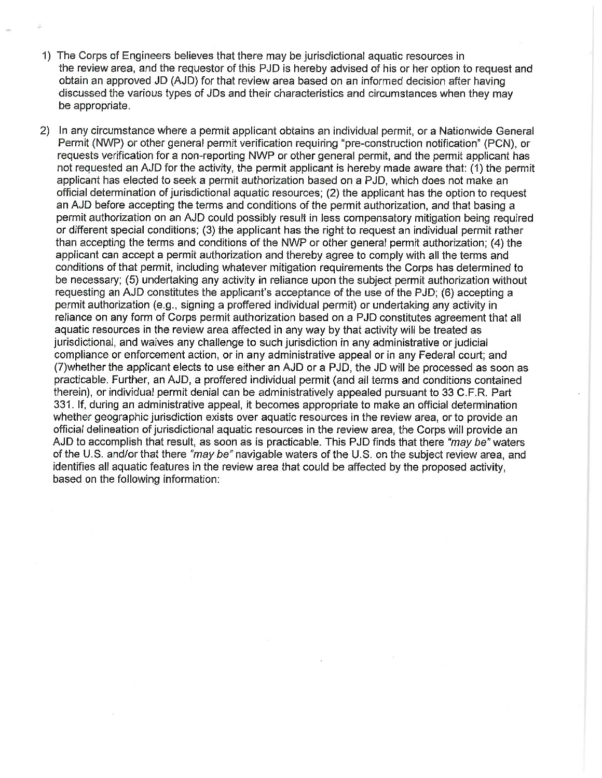- 1) The Corps of Engineers believes that there may be jurisdictional aguatic resources in the review area, and the requestor of this PJD is hereby advised of his or her option to request and obtain an approved JD (AJD) for that review area based on an informed decision after having discussed the various types of JDs and their characteristics and circumstances when they may be appropriate.
- 2) In any circumstance where a permit applicant obtains an individual permit, or a Nationwide General Permit (NWP) or other general permit verification requiring "pre-construction notification" (PCN), or requests verification for a non-reporting NWP or other general permit, and the permit applicant has not requested an AJD for the activity, the permit applicant is hereby made aware that: (1) the permit applicant has elected to seek a permit authorization based on a PJD, which does not make an official determination of jurisdictional aquatic resources; (2) the applicant has the option to request an AJD before accepting the terms and conditions of the permit authorization, and that basing a permit authorization on an AJD could possibly result in less compensatory mitigation being required or different special conditions; (3) the applicant has the right to request an individual permit rather than accepting the terms and conditions of the NWP or other general permit authorization; (4) the applicant can accept a permit authorization and thereby agree to comply with all the terms and conditions of that permit, including whatever mitigation requirements the Corps has determined to be necessary; (5) undertaking any activity in reliance upon the subject permit authorization without requesting an AJD constitutes the applicant's acceptance of the use of the PJD; (6) accepting a permit authorization (e.g., signing a proffered individual permit) or undertaking any activity in reliance on any form of Corps permit authorization based on a PJD constitutes agreement that all aquatic resources in the review area affected in any way by that activity will be treated as jurisdictional, and waives any challenge to such jurisdiction in any administrative or judicial compliance or enforcement action, or in any administrative appeal or in any Federal court; and (7) whether the applicant elects to use either an AJD or a PJD, the JD will be processed as soon as practicable. Further, an AJD, a proffered individual permit (and all terms and conditions contained therein), or individual permit denial can be administratively appealed pursuant to 33 C.F.R. Part 331. If, during an administrative appeal, it becomes appropriate to make an official determination whether geographic jurisdiction exists over aquatic resources in the review area, or to provide an official delineation of jurisdictional aquatic resources in the review area, the Corps will provide an AJD to accomplish that result, as soon as is practicable. This PJD finds that there "may be" waters of the U.S. and/or that there "may be" navigable waters of the U.S. on the subject review area, and identifies all aquatic features in the review area that could be affected by the proposed activity. based on the following information: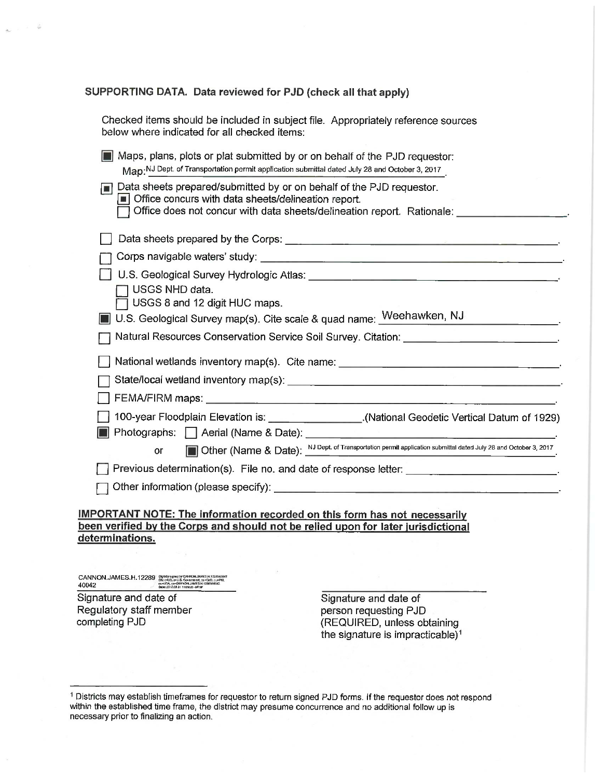## SUPPORTING DATA. Data reviewed for PJD (check all that apply)

| Checked items should be included in subject file. Appropriately reference sources |  |
|-----------------------------------------------------------------------------------|--|
| below where indicated for all checked items:                                      |  |

|                                                                                                           | Maps, plans, plots or plat submitted by or on behalf of the PJD requestor: |  |  |
|-----------------------------------------------------------------------------------------------------------|----------------------------------------------------------------------------|--|--|
| Map. <sup>NJ</sup> Dept. of Transportation permit application submittal dated July 28 and October 3, 2017 |                                                                            |  |  |

| $\Box$ | Data sheets prepared/submitted by or on behalf of the PJD requestor.<br>• Office concurs with data sheets/delineation report.<br>Office does not concur with data sheets/delineation report. Rationale: |
|--------|---------------------------------------------------------------------------------------------------------------------------------------------------------------------------------------------------------|
|        |                                                                                                                                                                                                         |
|        |                                                                                                                                                                                                         |
|        |                                                                                                                                                                                                         |
|        | ] USGS NHD data.                                                                                                                                                                                        |
|        | $\Box$ USGS 8 and 12 digit HUC maps.                                                                                                                                                                    |
|        | U.S. Geological Survey map(s). Cite scale & quad name: Weehawken, NJ                                                                                                                                    |
|        | Altural Resources Conservation Service Soil Survey. Citation:                                                                                                                                           |
|        |                                                                                                                                                                                                         |
|        | National wetlands inventory map(s). Cite name:                                                                                                                                                          |
|        | State/local wetland inventory map(s): _____________                                                                                                                                                     |

□ 100-year Floodplain Elevation is: \_\_\_\_\_\_\_\_\_\_\_\_\_\_\_\_\_\_\_\_.(National Geodetic Vertical Datum of 1929)

**Photographs:**  $\Box$  Aerial (Name & Date):

Other (Name & Date): NJ Dept. of Transportation permit application submittal dated July 28 and October 3, 2017

Other information (please specify): <u>containing</u>

# **IMPORTANT NOTE: The information recorded on this form has not necessarily** been verified by the Corps and should not be relied upon for later jurisdictional determinations.

CANNON,JAMES.H.12289 Digitally signal by CANNON.<br>40042 Partis & Content of CANNON and Solution Cannon Cannon<br>Designation of Cannon Cannon Cannon Cannon Cannon<br>Designation of the content of the cannon

**or** 

Signature and date of Regulatory staff member completing PJD

Signature and date of person requesting PJD (REQUIRED, unless obtaining the signature is impracticable)<sup>1</sup>

<sup>&</sup>lt;sup>1</sup> Districts may establish timeframes for requestor to return signed PJD forms. If the requestor does not respond within the established time frame, the district may presume concurrence and no additional follow up is necessary prior to finalizing an action.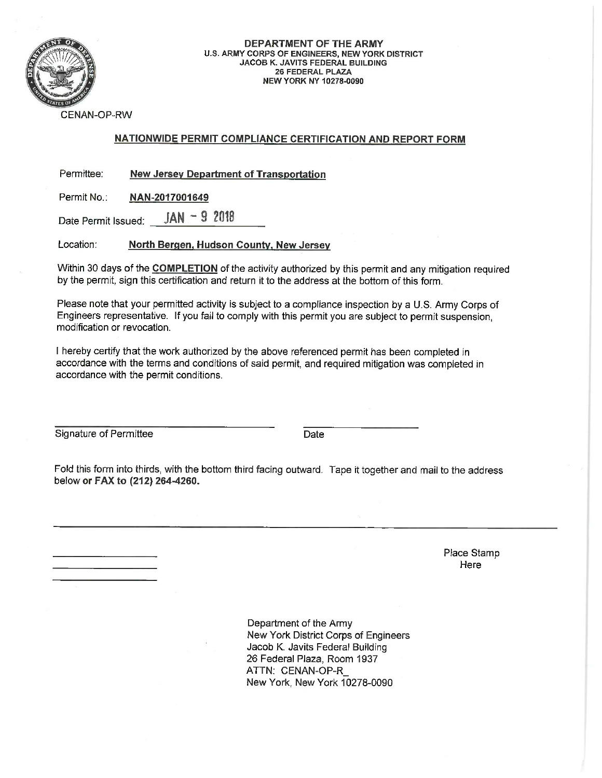

### DEPARTMENT OF THE ARMY U.S. ARMY CORPS OF ENGINEERS, NEW YORK DISTRICT **JACOB K. JAVITS FEDERAL BUILDING 26 FEDERAL PLAZA NEW YORK NY 10278-0090**

**CENAN-OP-RW** 

# NATIONWIDE PERMIT COMPLIANCE CERTIFICATION AND REPORT FORM

Permittee: **New Jersey Department of Transportation** 

Permit No.: NAN-2017001649

 $IAN - 92018$ Date Permit Issued:

Location: North Bergen, Hudson County, New Jersey

Within 30 days of the COMPLETION of the activity authorized by this permit and any mitigation required by the permit, sign this certification and return it to the address at the bottom of this form.

Please note that your permitted activity is subject to a compliance inspection by a U.S. Army Corps of Engineers representative. If you fail to comply with this permit you are subject to permit suspension, modification or revocation

I hereby certify that the work authorized by the above referenced permit has been completed in accordance with the terms and conditions of said permit, and required mitigation was completed in accordance with the permit conditions.

Signature of Permittee

Date

Fold this form into thirds, with the bottom third facing outward. Tape it together and mail to the address below or FAX to (212) 264-4260.

> Place Stamp Here

Department of the Army New York District Corps of Engineers Jacob K. Javits Federal Building 26 Federal Plaza, Room 1937 ATTN: CENAN-OP-R New York, New York 10278-0090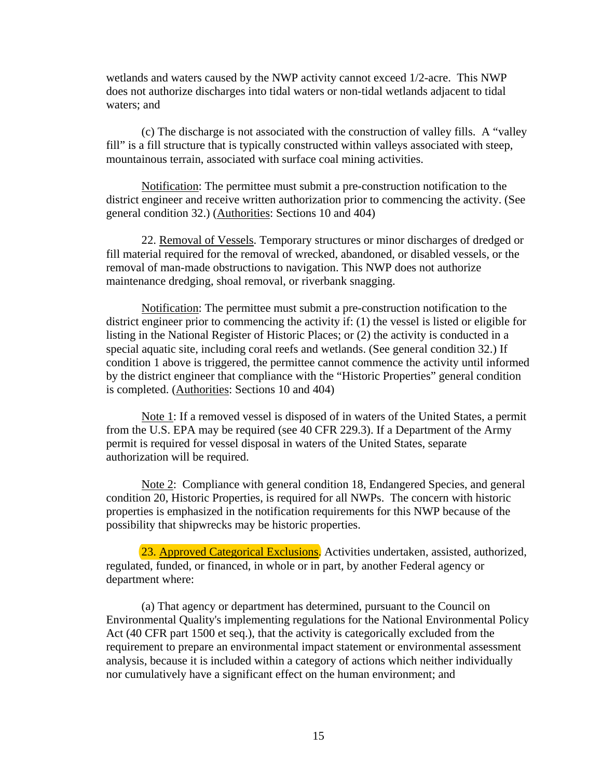wetlands and waters caused by the NWP activity cannot exceed 1/2-acre. This NWP does not authorize discharges into tidal waters or non-tidal wetlands adjacent to tidal waters; and

(c) The discharge is not associated with the construction of valley fills. A "valley fill" is a fill structure that is typically constructed within valleys associated with steep, mountainous terrain, associated with surface coal mining activities.

Notification: The permittee must submit a pre-construction notification to the district engineer and receive written authorization prior to commencing the activity. (See general condition 32.) (Authorities: Sections 10 and 404)

22. Removal of Vessels. Temporary structures or minor discharges of dredged or fill material required for the removal of wrecked, abandoned, or disabled vessels, or the removal of man-made obstructions to navigation. This NWP does not authorize maintenance dredging, shoal removal, or riverbank snagging.

Notification: The permittee must submit a pre-construction notification to the district engineer prior to commencing the activity if: (1) the vessel is listed or eligible for listing in the National Register of Historic Places; or (2) the activity is conducted in a special aquatic site, including coral reefs and wetlands. (See general condition 32.) If condition 1 above is triggered, the permittee cannot commence the activity until informed by the district engineer that compliance with the "Historic Properties" general condition is completed. (Authorities: Sections 10 and 404)

Note 1: If a removed vessel is disposed of in waters of the United States, a permit from the U.S. EPA may be required (see 40 CFR 229.3). If a Department of the Army permit is required for vessel disposal in waters of the United States, separate authorization will be required.

Note 2: Compliance with general condition 18, Endangered Species, and general condition 20, Historic Properties, is required for all NWPs. The concern with historic properties is emphasized in the notification requirements for this NWP because of the possibility that shipwrecks may be historic properties.

23. Approved Categorical Exclusions. Activities undertaken, assisted, authorized, regulated, funded, or financed, in whole or in part, by another Federal agency or department where:

(a) That agency or department has determined, pursuant to the Council on Environmental Quality's implementing regulations for the National Environmental Policy Act (40 CFR part 1500 et seq.), that the activity is categorically excluded from the requirement to prepare an environmental impact statement or environmental assessment analysis, because it is included within a category of actions which neither individually nor cumulatively have a significant effect on the human environment; and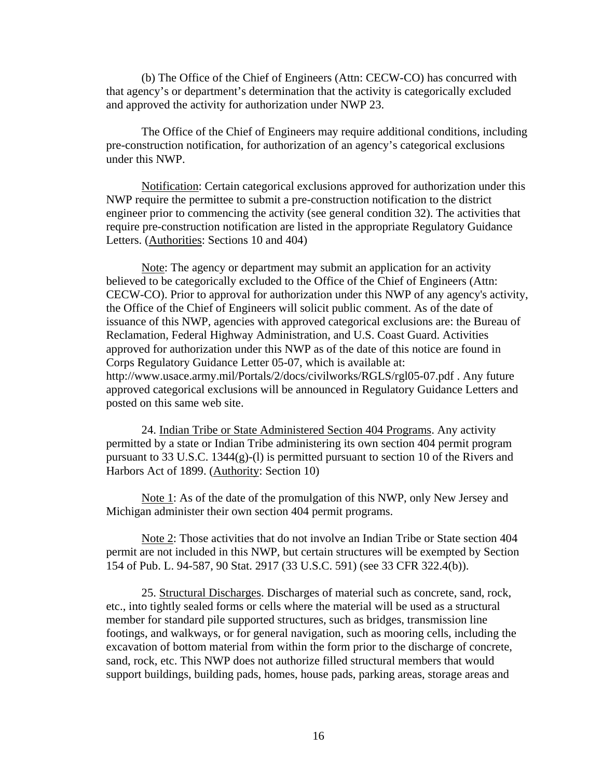(b) The Office of the Chief of Engineers (Attn: CECW-CO) has concurred with that agency's or department's determination that the activity is categorically excluded and approved the activity for authorization under NWP 23.

The Office of the Chief of Engineers may require additional conditions, including pre-construction notification, for authorization of an agency's categorical exclusions under this NWP.

Notification: Certain categorical exclusions approved for authorization under this NWP require the permittee to submit a pre-construction notification to the district engineer prior to commencing the activity (see general condition 32). The activities that require pre-construction notification are listed in the appropriate Regulatory Guidance Letters. (Authorities: Sections 10 and 404)

Note: The agency or department may submit an application for an activity believed to be categorically excluded to the Office of the Chief of Engineers (Attn: CECW-CO). Prior to approval for authorization under this NWP of any agency's activity, the Office of the Chief of Engineers will solicit public comment. As of the date of issuance of this NWP, agencies with approved categorical exclusions are: the Bureau of Reclamation, Federal Highway Administration, and U.S. Coast Guard. Activities approved for authorization under this NWP as of the date of this notice are found in Corps Regulatory Guidance Letter 05-07, which is available at: http://www.usace.army.mil/Portals/2/docs/civilworks/RGLS/rgl05-07.pdf . Any future approved categorical exclusions will be announced in Regulatory Guidance Letters and posted on this same web site.

24. Indian Tribe or State Administered Section 404 Programs. Any activity permitted by a state or Indian Tribe administering its own section 404 permit program pursuant to 33 U.S.C. 1344(g)-(l) is permitted pursuant to section 10 of the Rivers and Harbors Act of 1899. (Authority: Section 10)

Note 1: As of the date of the promulgation of this NWP, only New Jersey and Michigan administer their own section 404 permit programs.

Note 2: Those activities that do not involve an Indian Tribe or State section 404 permit are not included in this NWP, but certain structures will be exempted by Section 154 of Pub. L. 94-587, 90 Stat. 2917 (33 U.S.C. 591) (see 33 CFR 322.4(b)).

25. Structural Discharges. Discharges of material such as concrete, sand, rock, etc., into tightly sealed forms or cells where the material will be used as a structural member for standard pile supported structures, such as bridges, transmission line footings, and walkways, or for general navigation, such as mooring cells, including the excavation of bottom material from within the form prior to the discharge of concrete, sand, rock, etc. This NWP does not authorize filled structural members that would support buildings, building pads, homes, house pads, parking areas, storage areas and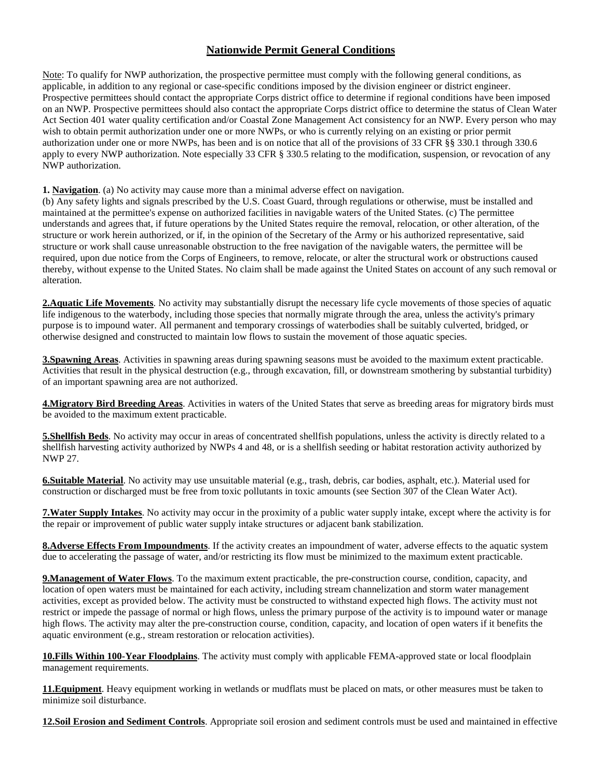# **Nationwide Permit General Conditions**

Note: To qualify for NWP authorization, the prospective permittee must comply with the following general conditions, as applicable, in addition to any regional or case-specific conditions imposed by the division engineer or district engineer. Prospective permittees should contact the appropriate Corps district office to determine if regional conditions have been imposed on an NWP. Prospective permittees should also contact the appropriate Corps district office to determine the status of Clean Water Act Section 401 water quality certification and/or Coastal Zone Management Act consistency for an NWP. Every person who may wish to obtain permit authorization under one or more NWPs, or who is currently relying on an existing or prior permit authorization under one or more NWPs, has been and is on notice that all of the provisions of 33 CFR §§ 330.1 through 330.6 apply to every NWP authorization. Note especially 33 CFR § 330.5 relating to the modification, suspension, or revocation of any NWP authorization.

**1. Navigation**. (a) No activity may cause more than a minimal adverse effect on navigation.

(b) Any safety lights and signals prescribed by the U.S. Coast Guard, through regulations or otherwise, must be installed and maintained at the permittee's expense on authorized facilities in navigable waters of the United States. (c) The permittee understands and agrees that, if future operations by the United States require the removal, relocation, or other alteration, of the structure or work herein authorized, or if, in the opinion of the Secretary of the Army or his authorized representative, said structure or work shall cause unreasonable obstruction to the free navigation of the navigable waters, the permittee will be required, upon due notice from the Corps of Engineers, to remove, relocate, or alter the structural work or obstructions caused thereby, without expense to the United States. No claim shall be made against the United States on account of any such removal or alteration.

**2.Aquatic Life Movements**. No activity may substantially disrupt the necessary life cycle movements of those species of aquatic life indigenous to the waterbody, including those species that normally migrate through the area, unless the activity's primary purpose is to impound water. All permanent and temporary crossings of waterbodies shall be suitably culverted, bridged, or otherwise designed and constructed to maintain low flows to sustain the movement of those aquatic species.

**3.Spawning Areas**. Activities in spawning areas during spawning seasons must be avoided to the maximum extent practicable. Activities that result in the physical destruction (e.g., through excavation, fill, or downstream smothering by substantial turbidity) of an important spawning area are not authorized.

**4.Migratory Bird Breeding Areas**. Activities in waters of the United States that serve as breeding areas for migratory birds must be avoided to the maximum extent practicable.

**5. Shellfish Beds**. No activity may occur in areas of concentrated shellfish populations, unless the activity is directly related to a shellfish harvesting activity authorized by NWPs 4 and 48, or is a shellfish seeding or habitat restoration activity authorized by NWP 27.

**6.Suitable Material**. No activity may use unsuitable material (e.g., trash, debris, car bodies, asphalt, etc.). Material used for construction or discharged must be free from toxic pollutants in toxic amounts (see Section 307 of the Clean Water Act).

**7.Water Supply Intakes**. No activity may occur in the proximity of a public water supply intake, except where the activity is for the repair or improvement of public water supply intake structures or adjacent bank stabilization.

**8.Adverse Effects From Impoundments**. If the activity creates an impoundment of water, adverse effects to the aquatic system due to accelerating the passage of water, and/or restricting its flow must be minimized to the maximum extent practicable.

**9.Management of Water Flows**. To the maximum extent practicable, the pre-construction course, condition, capacity, and location of open waters must be maintained for each activity, including stream channelization and storm water management activities, except as provided below. The activity must be constructed to withstand expected high flows. The activity must not restrict or impede the passage of normal or high flows, unless the primary purpose of the activity is to impound water or manage high flows. The activity may alter the pre-construction course, condition, capacity, and location of open waters if it benefits the aquatic environment (e.g., stream restoration or relocation activities).

**10.Fills Within 100-Year Floodplains**. The activity must comply with applicable FEMA-approved state or local floodplain management requirements.

**11.Equipment**. Heavy equipment working in wetlands or mudflats must be placed on mats, or other measures must be taken to minimize soil disturbance.

**12.Soil Erosion and Sediment Controls**. Appropriate soil erosion and sediment controls must be used and maintained in effective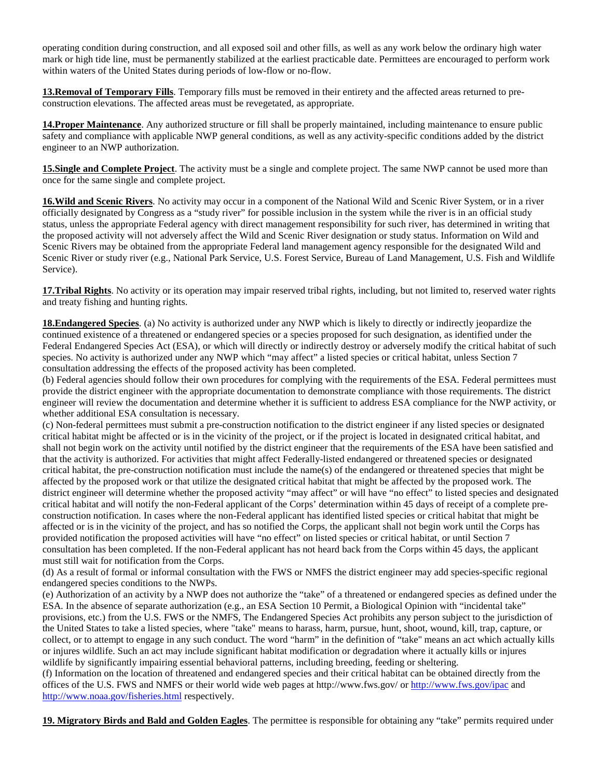operating condition during construction, and all exposed soil and other fills, as well as any work below the ordinary high water mark or high tide line, must be permanently stabilized at the earliest practicable date. Permittees are encouraged to perform work within waters of the United States during periods of low-flow or no-flow.

**13.Removal of Temporary Fills**. Temporary fills must be removed in their entirety and the affected areas returned to preconstruction elevations. The affected areas must be revegetated, as appropriate.

**14.Proper Maintenance**. Any authorized structure or fill shall be properly maintained, including maintenance to ensure public safety and compliance with applicable NWP general conditions, as well as any activity-specific conditions added by the district engineer to an NWP authorization.

**15.Single and Complete Project**. The activity must be a single and complete project. The same NWP cannot be used more than once for the same single and complete project.

**16.Wild and Scenic Rivers**. No activity may occur in a component of the National Wild and Scenic River System, or in a river officially designated by Congress as a "study river" for possible inclusion in the system while the river is in an official study status, unless the appropriate Federal agency with direct management responsibility for such river, has determined in writing that the proposed activity will not adversely affect the Wild and Scenic River designation or study status. Information on Wild and Scenic Rivers may be obtained from the appropriate Federal land management agency responsible for the designated Wild and Scenic River or study river (e.g., National Park Service, U.S. Forest Service, Bureau of Land Management, U.S. Fish and Wildlife Service).

**17.Tribal Rights**. No activity or its operation may impair reserved tribal rights, including, but not limited to, reserved water rights and treaty fishing and hunting rights.

**18. Endangered Species**. (a) No activity is authorized under any NWP which is likely to directly or indirectly jeopardize the continued existence of a threatened or endangered species or a species proposed for such designation, as identified under the Federal Endangered Species Act (ESA), or which will directly or indirectly destroy or adversely modify the critical habitat of such species. No activity is authorized under any NWP which "may affect" a listed species or critical habitat, unless Section 7 consultation addressing the effects of the proposed activity has been completed.

(b) Federal agencies should follow their own procedures for complying with the requirements of the ESA. Federal permittees must provide the district engineer with the appropriate documentation to demonstrate compliance with those requirements. The district engineer will review the documentation and determine whether it is sufficient to address ESA compliance for the NWP activity, or whether additional ESA consultation is necessary.

(c) Non-federal permittees must submit a pre-construction notification to the district engineer if any listed species or designated critical habitat might be affected or is in the vicinity of the project, or if the project is located in designated critical habitat, and shall not begin work on the activity until notified by the district engineer that the requirements of the ESA have been satisfied and that the activity is authorized. For activities that might affect Federally-listed endangered or threatened species or designated critical habitat, the pre-construction notification must include the name(s) of the endangered or threatened species that might be affected by the proposed work or that utilize the designated critical habitat that might be affected by the proposed work. The district engineer will determine whether the proposed activity "may affect" or will have "no effect" to listed species and designated critical habitat and will notify the non-Federal applicant of the Corps' determination within 45 days of receipt of a complete preconstruction notification. In cases where the non-Federal applicant has identified listed species or critical habitat that might be affected or is in the vicinity of the project, and has so notified the Corps, the applicant shall not begin work until the Corps has provided notification the proposed activities will have "no effect" on listed species or critical habitat, or until Section 7 consultation has been completed. If the non-Federal applicant has not heard back from the Corps within 45 days, the applicant must still wait for notification from the Corps.

(d) As a result of formal or informal consultation with the FWS or NMFS the district engineer may add species-specific regional endangered species conditions to the NWPs.

(e) Authorization of an activity by a NWP does not authorize the "take" of a threatened or endangered species as defined under the ESA. In the absence of separate authorization (e.g., an ESA Section 10 Permit, a Biological Opinion with "incidental take" provisions, etc.) from the U.S. FWS or the NMFS, The Endangered Species Act prohibits any person subject to the jurisdiction of the United States to take a listed species, where "take" means to harass, harm, pursue, hunt, shoot, wound, kill, trap, capture, or collect, or to attempt to engage in any such conduct. The word "harm" in the definition of "take'' means an act which actually kills or injures wildlife. Such an act may include significant habitat modification or degradation where it actually kills or injures wildlife by significantly impairing essential behavioral patterns, including breeding, feeding or sheltering.

(f) Information on the location of threatened and endangered species and their critical habitat can be obtained directly from the offices of the U.S. FWS and NMFS or their world wide web pages at http://www.fws.gov/ or http://www.fws.gov/ipac and http://www.noaa.gov/fisheries.html respectively.

**19. Migratory Birds and Bald and Golden Eagles**. The permittee is responsible for obtaining any "take" permits required under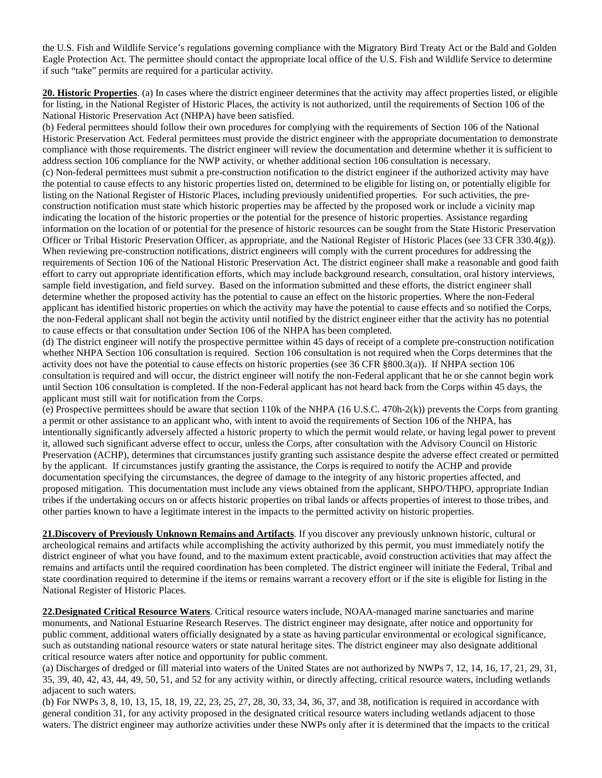the U.S. Fish and Wildlife Service's regulations governing compliance with the Migratory Bird Treaty Act or the Bald and Golden Eagle Protection Act. The permittee should contact the appropriate local office of the U.S. Fish and Wildlife Service to determine if such "take" permits are required for a particular activity.

20. Historic Properties. (a) In cases where the district engineer determines that the activity may affect properties listed, or eligible for listing, in the National Register of Historic Places, the activity is not authorized, until the requirements of Section 106 of the National Historic Preservation Act (NHPA) have been satisfied.

(b) Federal permittees should follow their own procedures for complying with the requirements of Section 106 of the National Historic Preservation Act. Federal permittees must provide the district engineer with the appropriate documentation to demonstrate compliance with those requirements. The district engineer will review the documentation and determine whether it is sufficient to address section 106 compliance for the NWP activity, or whether additional section 106 consultation is necessary. (c) Non-federal permittees must submit a pre-construction notification to the district engineer if the authorized activity may have the potential to cause effects to any historic properties listed on, determined to be eligible for listing on, or potentially eligible for listing on the National Register of Historic Places, including previously unidentified properties. For such activities, the preconstruction notification must state which historic properties may be affected by the proposed work or include a vicinity map indicating the location of the historic properties or the potential for the presence of historic properties. Assistance regarding information on the location of or potential for the presence of historic resources can be sought from the State Historic Preservation Officer or Tribal Historic Preservation Officer, as appropriate, and the National Register of Historic Places (see 33 CFR 330.4(g)). When reviewing pre-construction notifications, district engineers will comply with the current procedures for addressing the requirements of Section 106 of the National Historic Preservation Act. The district engineer shall make a reasonable and good faith effort to carry out appropriate identification efforts, which may include background research, consultation, oral history interviews, sample field investigation, and field survey. Based on the information submitted and these efforts, the district engineer shall determine whether the proposed activity has the potential to cause an effect on the historic properties. Where the non-Federal applicant has identified historic properties on which the activity may have the potential to cause effects and so notified the Corps, the non-Federal applicant shall not begin the activity until notified by the district engineer either that the activity has no potential to cause effects or that consultation under Section 106 of the NHPA has been completed.

(d) The district engineer will notify the prospective permittee within 45 days of receipt of a complete pre-construction notification whether NHPA Section 106 consultation is required. Section 106 consultation is not required when the Corps determines that the activity does not have the potential to cause effects on historic properties (see 36 CFR §800.3(a)). If NHPA section 106 consultation is required and will occur, the district engineer will notify the non-Federal applicant that he or she cannot begin work until Section 106 consultation is completed. If the non-Federal applicant has not heard back from the Corps within 45 days, the applicant must still wait for notification from the Corps.

(e) Prospective permittees should be aware that section 110k of the NHPA (16 U.S.C. 470h-2(k)) prevents the Corps from granting a permit or other assistance to an applicant who, with intent to avoid the requirements of Section 106 of the NHPA, has intentionally significantly adversely affected a historic property to which the permit would relate, or having legal power to prevent it, allowed such significant adverse effect to occur, unless the Corps, after consultation with the Advisory Council on Historic Preservation (ACHP), determines that circumstances justify granting such assistance despite the adverse effect created or permitted by the applicant. If circumstances justify granting the assistance, the Corps is required to notify the ACHP and provide documentation specifying the circumstances, the degree of damage to the integrity of any historic properties affected, and proposed mitigation. This documentation must include any views obtained from the applicant, SHPO/THPO, appropriate Indian tribes if the undertaking occurs on or affects historic properties on tribal lands or affects properties of interest to those tribes, and other parties known to have a legitimate interest in the impacts to the permitted activity on historic properties.

**21.Discovery of Previously Unknown Remains and Artifacts**. If you discover any previously unknown historic, cultural or archeological remains and artifacts while accomplishing the activity authorized by this permit, you must immediately notify the district engineer of what you have found, and to the maximum extent practicable, avoid construction activities that may affect the remains and artifacts until the required coordination has been completed. The district engineer will initiate the Federal, Tribal and state coordination required to determine if the items or remains warrant a recovery effort or if the site is eligible for listing in the National Register of Historic Places.

22.Designated Critical Resource Waters. Critical resource waters include, NOAA-managed marine sanctuaries and marine monuments, and National Estuarine Research Reserves. The district engineer may designate, after notice and opportunity for public comment, additional waters officially designated by a state as having particular environmental or ecological significance, such as outstanding national resource waters or state natural heritage sites. The district engineer may also designate additional critical resource waters after notice and opportunity for public comment.

(a) Discharges of dredged or fill material into waters of the United States are not authorized by NWPs 7, 12, 14, 16, 17, 21, 29, 31, 35, 39, 40, 42, 43, 44, 49, 50, 51, and 52 for any activity within, or directly affecting, critical resource waters, including wetlands adjacent to such waters.

(b) For NWPs 3, 8, 10, 13, 15, 18, 19, 22, 23, 25, 27, 28, 30, 33, 34, 36, 37, and 38, notification is required in accordance with general condition 31, for any activity proposed in the designated critical resource waters including wetlands adjacent to those waters. The district engineer may authorize activities under these NWPs only after it is determined that the impacts to the critical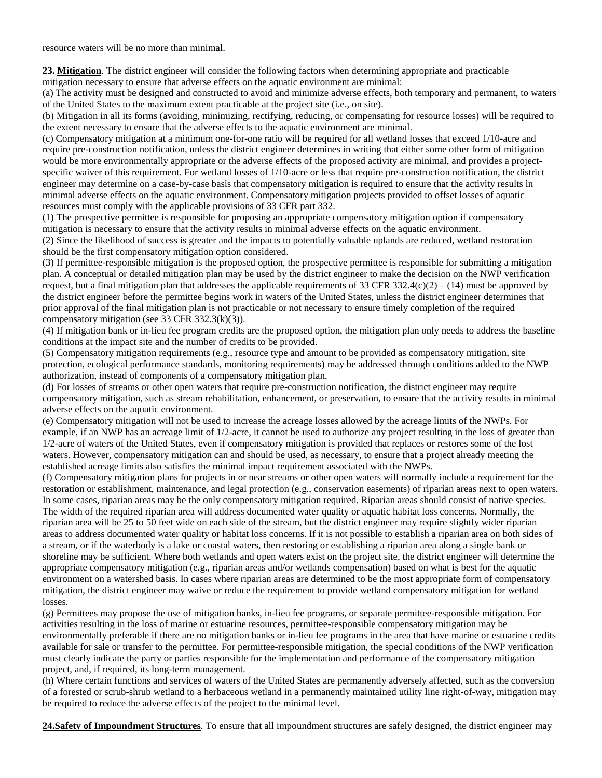resource waters will be no more than minimal.

**23. Mitigation** . The district engineer will consider the following factors when determining appropriate and practicable mitigation necessary to ensure that adverse effects on the aquatic environment are minimal:

(a) The activity must be designed and constructed to avoid and minimize adverse effects, both temporary and permanent, to waters of the United States to the maximum extent practicable at the project site (i.e., on site).

(b) Mitigation in all its forms (avoiding, minimizing, rectifying, reducing, or compensating for resource losses) will be required to the extent necessary to ensure that the adverse effects to the aquatic environment are minimal.

(c) Compensatory mitigation at a minimum one-for-one ratio will be required for all wetland losses that exceed 1/10-acre and require pre-construction notification, unless the district engineer determines in writing that either some other form of mitigation would be more environmentally appropriate or the adverse effects of the proposed activity are minimal, and provides a projectspecific waiver of this requirement. For wetland losses of 1/10-acre or less that require pre-construction notification, the district engineer may determine on a case-by-case basis that compensatory mitigation is required to ensure that the activity results in minimal adverse effects on the aquatic environment. Compensatory mitigation projects provided to offset losses of aquatic resources must comply with the applicable provisions of 33 CFR part 332.

(1) The prospective permittee is responsible for proposing an appropriate compensatory mitigation option if compensatory mitigation is necessary to ensure that the activity results in minimal adverse effects on the aquatic environment.

(2) Since the likelihood of success is greater and the impacts to potentially valuable uplands are reduced, wetland restoration should be the first compensatory mitigation option considered.

(3) If permittee-responsible mitigation is the proposed option, the prospective permittee is responsible for submitting a mitigation plan. A conceptual or detailed mitigation plan may be used by the district engineer to make the decision on the NWP verification request, but a final mitigation plan that addresses the applicable requirements of 33 CFR 332.4(c)(2) – (14) must be approved by the district engineer before the permittee begins work in waters of the United States, unless the district engineer determines that prior approval of the final mitigation plan is not practicable or not necessary to ensure timely completion of the required compensatory mitigation (see 33 CFR 332.3(k)(3)).

(4) If mitigation bank or in-lieu fee program credits are the proposed option, the mitigation plan only needs to address the baseline conditions at the impact site and the number of credits to be provided.

(5) Compensatory mitigation requirements (e.g., resource type and amount to be provided as compensatory mitigation, site protection, ecological performance standards, monitoring requirements) may be addressed through conditions added to the NWP authorization, instead of components of a compensatory mitigation plan.

(d) For losses of streams or other open waters that require pre-construction notification, the district engineer may require compensatory mitigation, such as stream rehabilitation, enhancement, or preservation, to ensure that the activity results in minimal adverse effects on the aquatic environment.

(e) Compensatory mitigation will not be used to increase the acreage losses allowed by the acreage limits of the NWPs. For example, if an NWP has an acreage limit of 1/2-acre, it cannot be used to authorize any project resulting in the loss of greater than 1/2-acre of waters of the United States, even if compensatory mitigation is provided that replaces or restores some of the lost waters. However, compensatory mitigation can and should be used, as necessary, to ensure that a project already meeting the established acreage limits also satisfies the minimal impact requirement associated with the NWPs.

(f) Compensatory mitigation plans for projects in or near streams or other open waters will normally include a requirement for the restoration or establishment, maintenance, and legal protection (e.g., conservation easements) of riparian areas next to open waters. In some cases, riparian areas may be the only compensatory mitigation required. Riparian areas should consist of native species. The width of the required riparian area will address documented water quality or aquatic habitat loss concerns. Normally, the riparian area will be 25 to 50 feet wide on each side of the stream, but the district engineer may require slightly wider riparian areas to address documented water quality or habitat loss concerns. If it is not possible to establish a riparian area on both sides of a stream, or if the waterbody is a lake or coastal waters, then restoring or establishing a riparian area along a single bank or shoreline may be sufficient. Where both wetlands and open waters exist on the project site, the district engineer will determine the appropriate compensatory mitigation (e.g., riparian areas and/or wetlands compensation) based on what is best for the aquatic environment on a watershed basis. In cases where riparian areas are determined to be the most appropriate form of compensatory mitigation, the district engineer may waive or reduce the requirement to provide wetland compensatory mitigation for wetland losses.

(g) Permittees may propose the use of mitigation banks, in-lieu fee programs, or separate permittee-responsible mitigation. For activities resulting in the loss of marine or estuarine resources, permittee-responsible compensatory mitigation may be environmentally preferable if there are no mitigation banks or in-lieu fee programs in the area that have marine or estuarine credits available for sale or transfer to the permittee. For permittee-responsible mitigation, the special conditions of the NWP verification must clearly indicate the party or parties responsible for the implementation and performance of the compensatory mitigation project, and, if required, its long-term management.

(h) Where certain functions and services of waters of the United States are permanently adversely affected, such as the conversion of a forested or scrub-shrub wetland to a herbaceous wetland in a permanently maintained utility line right-of-way, mitigation may be required to reduce the adverse effects of the project to the minimal level.

**24.Safety of Impoundment Structures**. To ensure that all impoundment structures are safely designed, the district engineer may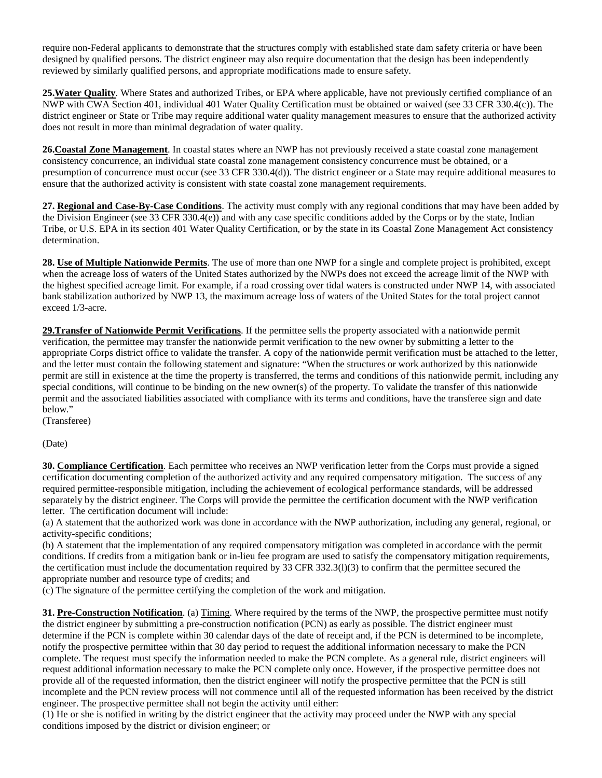require non-Federal applicants to demonstrate that the structures comply with established state dam safety criteria or have been designed by qualified persons. The district engineer may also require documentation that the design has been independently reviewed by similarly qualified persons, and appropriate modifications made to ensure safety.

**25.Water Quality**. Where States and authorized Tribes, or EPA where applicable, have not previously certified compliance of an NWP with CWA Section 401, individual 401 Water Quality Certification must be obtained or waived (see 33 CFR 330.4(c)). The district engineer or State or Tribe may require additional water quality management measures to ensure that the authorized activity does not result in more than minimal degradation of water quality.

**26.Coastal Zone Management**. In coastal states where an NWP has not previously received a state coastal zone management consistency concurrence, an individual state coastal zone management consistency concurrence must be obtained, or a presumption of concurrence must occur (see 33 CFR 330.4(d)). The district engineer or a State may require additional measures to ensure that the authorized activity is consistent with state coastal zone management requirements.

**27. Regional and Case-By-Case Conditions**. The activity must comply with any regional conditions that may have been added by the Division Engineer (see 33 CFR 330.4(e)) and with any case specific conditions added by the Corps or by the state, Indian Tribe, or U.S. EPA in its section 401 Water Quality Certification, or by the state in its Coastal Zone Management Act consistency determination.

**28. Use of Multiple Nationwide Permits**. The use of more than one NWP for a single and complete project is prohibited, except when the acreage loss of waters of the United States authorized by the NWPs does not exceed the acreage limit of the NWP with the highest specified acreage limit. For example, if a road crossing over tidal waters is constructed under NWP 14, with associated bank stabilization authorized by NWP 13, the maximum acreage loss of waters of the United States for the total project cannot exceed 1/3-acre.

29. Transfer of Nationwide Permit Verifications. If the permittee sells the property associated with a nationwide permit verification, the permittee may transfer the nationwide permit verification to the new owner by submitting a letter to the appropriate Corps district office to validate the transfer. A copy of the nationwide permit verification must be attached to the letter, and the letter must contain the following statement and signature: "When the structures or work authorized by this nationwide permit are still in existence at the time the property is transferred, the terms and conditions of this nationwide permit, including any special conditions, will continue to be binding on the new owner(s) of the property. To validate the transfer of this nationwide permit and the associated liabilities associated with compliance with its terms and conditions, have the transferee sign and date below."

(Transferee)

(Date)

**30. Compliance Certification**. Each permittee who receives an NWP verification letter from the Corps must provide a signed certification documenting completion of the authorized activity and any required compensatory mitigation. The success of any required permittee-responsible mitigation, including the achievement of ecological performance standards, will be addressed separately by the district engineer. The Corps will provide the permittee the certification document with the NWP verification letter. The certification document will include:

(a) A statement that the authorized work was done in accordance with the NWP authorization, including any general, regional, or activity-specific conditions;

(b) A statement that the implementation of any required compensatory mitigation was completed in accordance with the permit conditions. If credits from a mitigation bank or in-lieu fee program are used to satisfy the compensatory mitigation requirements, the certification must include the documentation required by 33 CFR 332.3(l)(3) to confirm that the permittee secured the appropriate number and resource type of credits; and

(c) The signature of the permittee certifying the completion of the work and mitigation.

**31. Pre-Construction Notification**. (a) Timing . Where required by the terms of the NWP, the prospective permittee must notify the district engineer by submitting a pre-construction notification (PCN) as early as possible. The district engineer must determine if the PCN is complete within 30 calendar days of the date of receipt and, if the PCN is determined to be incomplete, notify the prospective permittee within that 30 day period to request the additional information necessary to make the PCN complete. The request must specify the information needed to make the PCN complete. As a general rule, district engineers will request additional information necessary to make the PCN complete only once. However, if the prospective permittee does not provide all of the requested information, then the district engineer will notify the prospective permittee that the PCN is still incomplete and the PCN review process will not commence until all of the requested information has been received by the district engineer. The prospective permittee shall not begin the activity until either:

(1) He or she is notified in writing by the district engineer that the activity may proceed under the NWP with any special conditions imposed by the district or division engineer; or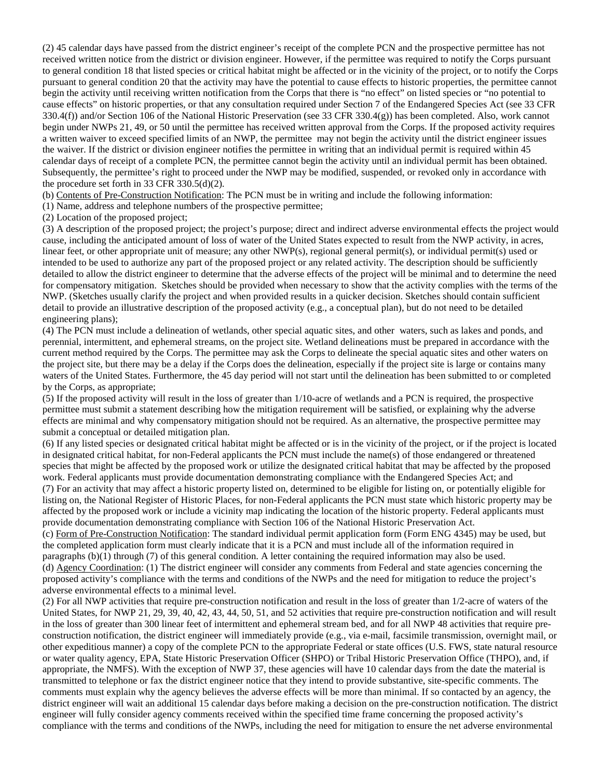(2) 45 calendar days have passed from the district engineer's receipt of the complete PCN and the prospective permittee has not received written notice from the district or division engineer. However, if the permittee was required to notify the Corps pursuant to general condition 18 that listed species or critical habitat might be affected or in the vicinity of the project, or to notify the Corps pursuant to general condition 20 that the activity may have the potential to cause effects to historic properties, the permittee cannot begin the activity until receiving written notification from the Corps that there is "no effect" on listed species or "no potential to cause effects" on historic properties, or that any consultation required under Section 7 of the Endangered Species Act (see 33 CFR 330.4(f)) and/or Section 106 of the National Historic Preservation (see 33 CFR 330.4(g)) has been completed. Also, work cannot begin under NWPs 21, 49, or 50 until the permittee has received written approval from the Corps. If the proposed activity requires a written waiver to exceed specified limits of an NWP, the permittee may not begin the activity until the district engineer issues the waiver. If the district or division engineer notifies the permittee in writing that an individual permit is required within 45 calendar days of receipt of a complete PCN, the permittee cannot begin the activity until an individual permit has been obtained. Subsequently, the permittee's right to proceed under the NWP may be modified, suspended, or revoked only in accordance with the procedure set forth in 33 CFR  $330.5(d)(2)$ .

(b) Contents of Pre-Construction Notification: The PCN must be in writing and include the following information:

(1) Name, address and telephone numbers of the prospective permittee;

(2) Location of the proposed project;

(3) A description of the proposed project; the project's purpose; direct and indirect adverse environmental effects the project would cause, including the anticipated amount of loss of water of the United States expected to result from the NWP activity, in acres, linear feet, or other appropriate unit of measure; any other NWP(s), regional general permit(s), or individual permit(s) used or intended to be used to authorize any part of the proposed project or any related activity. The description should be sufficiently detailed to allow the district engineer to determine that the adverse effects of the project will be minimal and to determine the need for compensatory mitigation. Sketches should be provided when necessary to show that the activity complies with the terms of the NWP. (Sketches usually clarify the project and when provided results in a quicker decision. Sketches should contain sufficient detail to provide an illustrative description of the proposed activity (e.g., a conceptual plan), but do not need to be detailed engineering plans);

(4) The PCN must include a delineation of wetlands, other special aquatic sites, and other waters, such as lakes and ponds, and perennial, intermittent, and ephemeral streams, on the project site. Wetland delineations must be prepared in accordance with the current method required by the Corps. The permittee may ask the Corps to delineate the special aquatic sites and other waters on the project site, but there may be a delay if the Corps does the delineation, especially if the project site is large or contains many waters of the United States. Furthermore, the 45 day period will not start until the delineation has been submitted to or completed by the Corps, as appropriate;

(5) If the proposed activity will result in the loss of greater than 1/10-acre of wetlands and a PCN is required, the prospective permittee must submit a statement describing how the mitigation requirement will be satisfied, or explaining why the adverse effects are minimal and why compensatory mitigation should not be required. As an alternative, the prospective permittee may submit a conceptual or detailed mitigation plan.

(6) If any listed species or designated critical habitat might be affected or is in the vicinity of the project, or if the project is located in designated critical habitat, for non-Federal applicants the PCN must include the name(s) of those endangered or threatened species that might be affected by the proposed work or utilize the designated critical habitat that may be affected by the proposed work. Federal applicants must provide documentation demonstrating compliance with the Endangered Species Act; and (7) For an activity that may affect a historic property listed on, determined to be eligible for listing on, or potentially eligible for listing on, the National Register of Historic Places, for non-Federal applicants the PCN must state which historic property may be affected by the proposed work or include a vicinity map indicating the location of the historic property. Federal applicants must provide documentation demonstrating compliance with Section 106 of the National Historic Preservation Act.

(c) Form of Pre-Construction Notification: The standard individual permit application form (Form ENG 4345) may be used, but (d) Agency Coordination: (1) The district engineer will consider any comments from Federal and state agencies concerning the the completed application form must clearly indicate that it is a PCN and must include all of the information required in paragraphs (b)(1) through (7) of this general condition. A letter containing the required information may also be used. proposed activity's compliance with the terms and conditions of the NWPs and the need for mitigation to reduce the project's adverse environmental effects to a minimal level.

(2) For all NWP activities that require pre-construction notification and result in the loss of greater than 1/2-acre of waters of the United States, for NWP 21, 29, 39, 40, 42, 43, 44, 50, 51, and 52 activities that require pre-construction notification and will result in the loss of greater than 300 linear feet of intermittent and ephemeral stream bed, and for all NWP 48 activities that require preconstruction notification, the district engineer will immediately provide (e.g., via e-mail, facsimile transmission, overnight mail, or other expeditious manner) a copy of the complete PCN to the appropriate Federal or state offices (U.S. FWS, state natural resource or water quality agency, EPA, State Historic Preservation Officer (SHPO) or Tribal Historic Preservation Office (THPO), and, if appropriate, the NMFS). With the exception of NWP 37, these agencies will have 10 calendar days from the date the material is transmitted to telephone or fax the district engineer notice that they intend to provide substantive, site-specific comments. The comments must explain why the agency believes the adverse effects will be more than minimal. If so contacted by an agency, the district engineer will wait an additional 15 calendar days before making a decision on the pre-construction notification. The district engineer will fully consider agency comments received within the specified time frame concerning the proposed activity's compliance with the terms and conditions of the NWPs, including the need for mitigation to ensure the net adverse environmental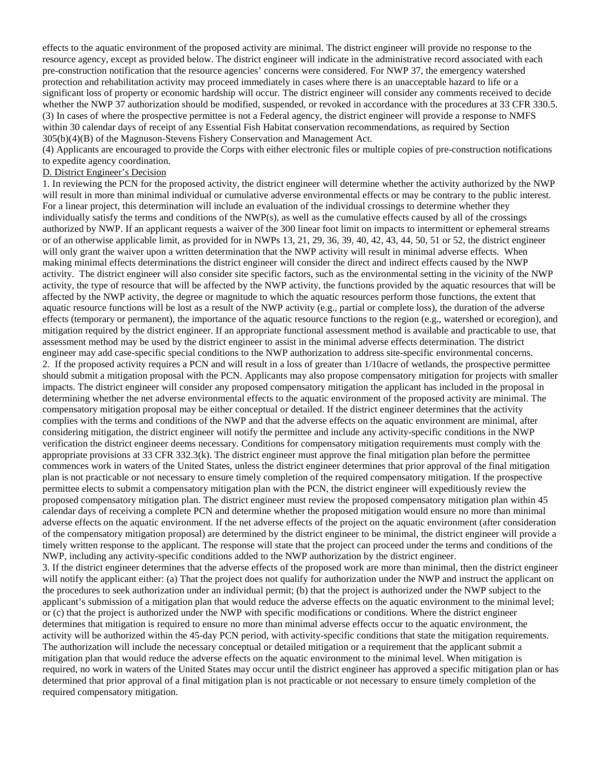effects to the aquatic environment of the proposed activity are minimal. The district engineer will provide no response to the resource agency, except as provided below. The district engineer will indicate in the administrative record associated with each pre-construction notification that the resource agencies' concerns were considered. For NWP 37, the emergency watershed protection and rehabilitation activity may proceed immediately in cases where there is an unacceptable hazard to life or a significant loss of property or economic hardship will occur. The district engineer will consider any comments received to decide whether the NWP 37 authorization should be modified, suspended, or revoked in accordance with the procedures at 33 CFR 330.5. (3) In cases of where the prospective permittee is not a Federal agency, the district engineer will provide a response to NMFS within 30 calendar days of receipt of any Essential Fish Habitat conservation recommendations, as required by Section 305(b)(4)(B) of the Magnuson-Stevens Fishery Conservation and Management Act.

(4) Applicants are encouraged to provide the Corps with either electronic files or multiple copies of pre-construction notifications to expedite agency coordination.

### D. District Engineer's Decision

1. In reviewing the PCN for the proposed activity, the district engineer will determine whether the activity authorized by the NWP will result in more than minimal individual or cumulative adverse environmental effects or may be contrary to the public interest. For a linear project, this determination will include an evaluation of the individual crossings to determine whether they individually satisfy the terms and conditions of the NWP(s), as well as the cumulative effects caused by all of the crossings authorized by NWP. If an applicant requests a waiver of the 300 linear foot limit on impacts to intermittent or ephemeral streams or of an otherwise applicable limit, as provided for in NWPs 13, 21, 29, 36, 39, 40, 42, 43, 44, 50, 51 or 52, the district engineer will only grant the waiver upon a written determination that the NWP activity will result in minimal adverse effects. When making minimal effects determinations the district engineer will consider the direct and indirect effects caused by the NWP activity. The district engineer will also consider site specific factors, such as the environmental setting in the vicinity of the NWP activity, the type of resource that will be affected by the NWP activity, the functions provided by the aquatic resources that will be affected by the NWP activity, the degree or magnitude to which the aquatic resources perform those functions, the extent that aquatic resource functions will be lost as a result of the NWP activity (e.g., partial or complete loss), the duration of the adverse effects (temporary or permanent), the importance of the aquatic resource functions to the region (e.g., watershed or ecoregion), and mitigation required by the district engineer. If an appropriate functional assessment method is available and practicable to use, that assessment method may be used by the district engineer to assist in the minimal adverse effects determination. The district engineer may add case-specific special conditions to the NWP authorization to address site-specific environmental concerns. 2. If the proposed activity requires a PCN and will result in a loss of greater than 1/10acre of wetlands, the prospective permittee should submit a mitigation proposal with the PCN. Applicants may also propose compensatory mitigation for projects with smaller impacts. The district engineer will consider any proposed compensatory mitigation the applicant has included in the proposal in determining whether the net adverse environmental effects to the aquatic environment of the proposed activity are minimal. The compensatory mitigation proposal may be either conceptual or detailed. If the district engineer determines that the activity complies with the terms and conditions of the NWP and that the adverse effects on the aquatic environment are minimal, after considering mitigation, the district engineer will notify the permittee and include any activity-specific conditions in the NWP verification the district engineer deems necessary. Conditions for compensatory mitigation requirements must comply with the appropriate provisions at 33 CFR 332.3(k). The district engineer must approve the final mitigation plan before the permittee commences work in waters of the United States, unless the district engineer determines that prior approval of the final mitigation plan is not practicable or not necessary to ensure timely completion of the required compensatory mitigation. If the prospective permittee elects to submit a compensatory mitigation plan with the PCN, the district engineer will expeditiously review the proposed compensatory mitigation plan. The district engineer must review the proposed compensatory mitigation plan within 45 calendar days of receiving a complete PCN and determine whether the proposed mitigation would ensure no more than minimal adverse effects on the aquatic environment. If the net adverse effects of the project on the aquatic environment (after consideration of the compensatory mitigation proposal) are determined by the district engineer to be minimal, the district engineer will provide a timely written response to the applicant. The response will state that the project can proceed under the terms and conditions of the NWP, including any activity-specific conditions added to the NWP authorization by the district engineer.

3. If the district engineer determines that the adverse effects of the proposed work are more than minimal, then the district engineer will notify the applicant either: (a) That the project does not qualify for authorization under the NWP and instruct the applicant on the procedures to seek authorization under an individual permit; (b) that the project is authorized under the NWP subject to the applicant's submission of a mitigation plan that would reduce the adverse effects on the aquatic environment to the minimal level; or (c) that the project is authorized under the NWP with specific modifications or conditions. Where the district engineer determines that mitigation is required to ensure no more than minimal adverse effects occur to the aquatic environment, the activity will be authorized within the 45-day PCN period, with activity-specific conditions that state the mitigation requirements. The authorization will include the necessary conceptual or detailed mitigation or a requirement that the applicant submit a mitigation plan that would reduce the adverse effects on the aquatic environment to the minimal level. When mitigation is required, no work in waters of the United States may occur until the district engineer has approved a specific mitigation plan or has determined that prior approval of a final mitigation plan is not practicable or not necessary to ensure timely completion of the required compensatory mitigation.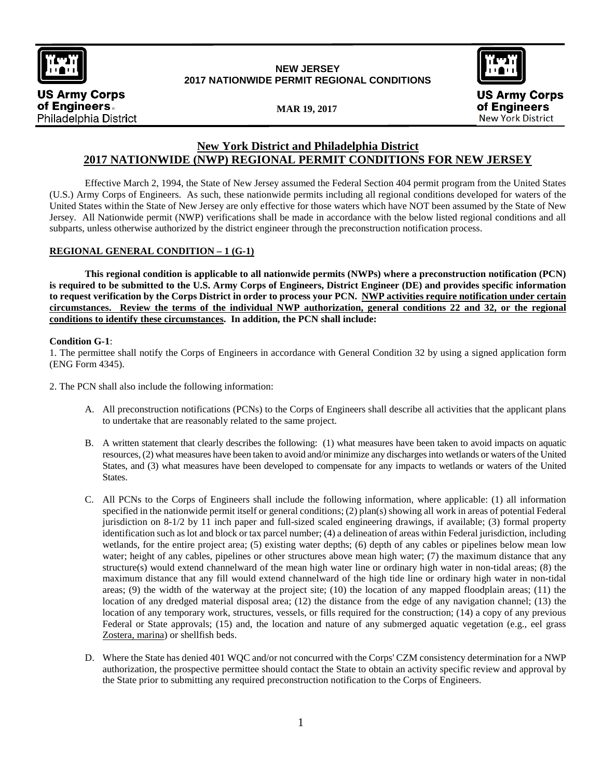

**US Army Corps** 

Philadelphia District

of Engineers.

# **NEW JERSEY 2017 NATIONWIDE PERMIT REGIONAL CONDITIONS**



**MAR 19, 2017**

# **New York District and Philadelphia District 2017 NATIONWIDE (NWP) REGIONAL PERMIT CONDITIONS FOR NEW JERSEY**

Effective March 2, 1994, the State of New Jersey assumed the Federal Section 404 permit program from the United States (U.S.) Army Corps of Engineers. As such, these nationwide permits including all regional conditions developed for waters of the United States within the State of New Jersey are only effective for those waters which have NOT been assumed by the State of New Jersey. All Nationwide permit (NWP) verifications shall be made in accordance with the below listed regional conditions and all subparts, unless otherwise authorized by the district engineer through the preconstruction notification process.

## **REGIONAL GENERAL CONDITION – 1 (G-1)**

**This regional condition is applicable to all nationwide permits (NWPs) where a preconstruction notification (PCN) is required to be submitted to the U.S. Army Corps of Engineers, District Engineer (DE) and provides specific information to request verification by the Corps District in order to process your PCN. NWP activities require notification under certain circumstances. Review the terms of the individual NWP authorization, general conditions 22 and 32, or the regional conditions to identify these circumstances. In addition, the PCN shall include:** 

### **Condition G-1**:

1. The permittee shall notify the Corps of Engineers in accordance with General Condition 32 by using a signed application form (ENG Form 4345).

2. The PCN shall also include the following information:

- A. All preconstruction notifications (PCNs) to the Corps of Engineers shall describe all activities that the applicant plans to undertake that are reasonably related to the same project.
- B. A written statement that clearly describes the following: (1) what measures have been taken to avoid impacts on aquatic resources, (2) what measures have been taken to avoid and/or minimize any discharges into wetlands or waters of the United States, and (3) what measures have been developed to compensate for any impacts to wetlands or waters of the United States.
- C. All PCNs to the Corps of Engineers shall include the following information, where applicable: (1) all information specified in the nationwide permit itself or general conditions; (2) plan(s) showing all work in areas of potential Federal jurisdiction on 8-1/2 by 11 inch paper and full-sized scaled engineering drawings, if available; (3) formal property identification such as lot and block or tax parcel number; (4) a delineation of areas within Federal jurisdiction, including wetlands, for the entire project area; (5) existing water depths; (6) depth of any cables or pipelines below mean low water; height of any cables, pipelines or other structures above mean high water; (7) the maximum distance that any structure(s) would extend channelward of the mean high water line or ordinary high water in non-tidal areas; (8) the maximum distance that any fill would extend channelward of the high tide line or ordinary high water in non-tidal areas; (9) the width of the waterway at the project site; (10) the location of any mapped floodplain areas; (11) the location of any dredged material disposal area; (12) the distance from the edge of any navigation channel; (13) the location of any temporary work, structures, vessels, or fills required for the construction; (14) a copy of any previous Federal or State approvals; (15) and, the location and nature of any submerged aquatic vegetation (e.g., eel grass Zostera, marina) or shellfish beds.
- D. Where the State has denied 401 WQC and/or not concurred with the Corps' CZM consistency determination for a NWP authorization, the prospective permittee should contact the State to obtain an activity specific review and approval by the State prior to submitting any required preconstruction notification to the Corps of Engineers.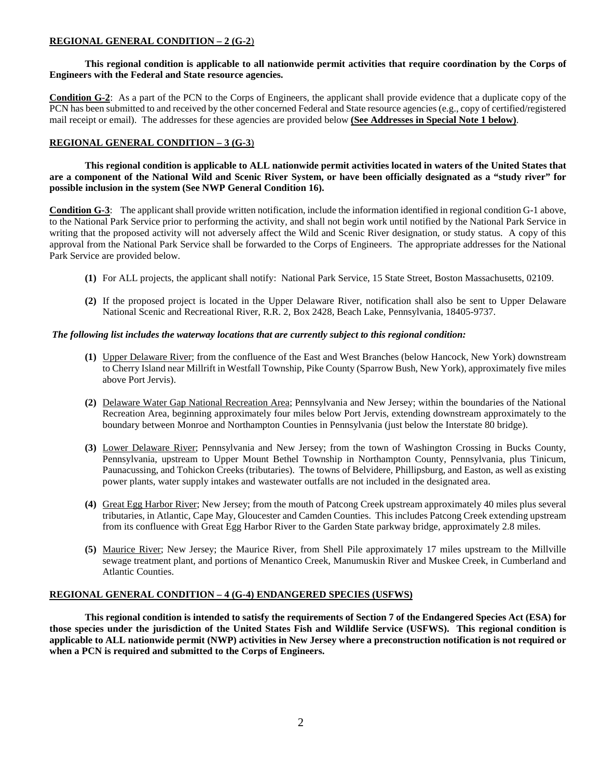## **REGIONAL GENERAL CONDITION – 2 (G-2**)

### **This regional condition is applicable to all nationwide permit activities that require coordination by the Corps of Engineers with the Federal and State resource agencies.**

**Condition G-2**: As a part of the PCN to the Corps of Engineers, the applicant shall provide evidence that a duplicate copy of the PCN has been submitted to and received by the other concerned Federal and State resource agencies (e.g., copy of certified/registered mail receipt or email). The addresses for these agencies are provided below **(See Addresses in Special Note 1 below)**.

## **REGIONAL GENERAL CONDITION – 3 (G-3**)

**This regional condition is applicable to ALL nationwide permit activities located in waters of the United States that are a component of the National Wild and Scenic River System, or have been officially designated as a "study river" for possible inclusion in the system (See NWP General Condition 16).**

**Condition G-3**: The applicant shall provide written notification, include the information identified in regional condition G-1 above, to the National Park Service prior to performing the activity, and shall not begin work until notified by the National Park Service in writing that the proposed activity will not adversely affect the Wild and Scenic River designation, or study status. A copy of this approval from the National Park Service shall be forwarded to the Corps of Engineers. The appropriate addresses for the National Park Service are provided below.

- **(1)** For ALL projects, the applicant shall notify: National Park Service, 15 State Street, Boston Massachusetts, 02109.
- **(2)** If the proposed project is located in the Upper Delaware River, notification shall also be sent to Upper Delaware National Scenic and Recreational River, R.R. 2, Box 2428, Beach Lake, Pennsylvania, 18405-9737.

### *The following list includes the waterway locations that are currently subject to this regional condition:*

- **(1)** Upper Delaware River; from the confluence of the East and West Branches (below Hancock, New York) downstream to Cherry Island near Millrift in Westfall Township, Pike County (Sparrow Bush, New York), approximately five miles above Port Jervis).
- **(2)** Delaware Water Gap National Recreation Area; Pennsylvania and New Jersey; within the boundaries of the National Recreation Area, beginning approximately four miles below Port Jervis, extending downstream approximately to the boundary between Monroe and Northampton Counties in Pennsylvania (just below the Interstate 80 bridge).
- **(3)** Lower Delaware River; Pennsylvania and New Jersey; from the town of Washington Crossing in Bucks County, Pennsylvania, upstream to Upper Mount Bethel Township in Northampton County, Pennsylvania, plus Tinicum, Paunacussing, and Tohickon Creeks (tributaries). The towns of Belvidere, Phillipsburg, and Easton, as well as existing power plants, water supply intakes and wastewater outfalls are not included in the designated area.
- **(4)** Great Egg Harbor River; New Jersey; from the mouth of Patcong Creek upstream approximately 40 miles plus several tributaries, in Atlantic, Cape May, Gloucester and Camden Counties. This includes Patcong Creek extending upstream from its confluence with Great Egg Harbor River to the Garden State parkway bridge, approximately 2.8 miles.
- **(5)** Maurice River; New Jersey; the Maurice River, from Shell Pile approximately 17 miles upstream to the Millville sewage treatment plant, and portions of Menantico Creek, Manumuskin River and Muskee Creek, in Cumberland and Atlantic Counties.

### **REGIONAL GENERAL CONDITION – 4 (G-4) ENDANGERED SPECIES (USFWS)**

**This regional condition is intended to satisfy the requirements of Section 7 of the Endangered Species Act (ESA) for those species under the jurisdiction of the United States Fish and Wildlife Service (USFWS). This regional condition is applicable to ALL nationwide permit (NWP) activities in New Jersey where a preconstruction notification is not required or when a PCN is required and submitted to the Corps of Engineers.**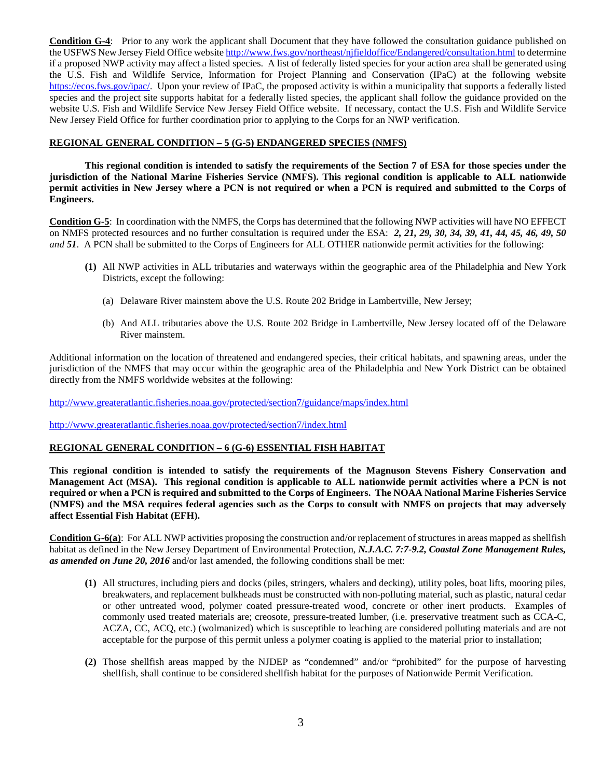**Condition G-4**: Prior to any work the applicant shall Document that they have followed the consultation guidance published on the USFWS New Jersey Field Office website<http://www.fws.gov/northeast/njfieldoffice/Endangered/consultation.html> to determine if a proposed NWP activity may affect a listed species. A list of federally listed species for your action area shall be generated using the U.S. Fish and Wildlife Service, Information for Project Planning and Conservation (IPaC) at the following website [https://ecos.fws.gov/ipac/.](https://ecos.fws.gov/ipac/) Upon your review of IPaC, the proposed activity is within a municipality that supports a federally listed species and the project site supports habitat for a federally listed species, the applicant shall follow the guidance provided on the website U.S. Fish and Wildlife Service New Jersey Field Office website. If necessary, contact the U.S. Fish and Wildlife Service New Jersey Field Office for further coordination prior to applying to the Corps for an NWP verification.

### **REGIONAL GENERAL CONDITION – 5 (G-5) ENDANGERED SPECIES (NMFS)**

**This regional condition is intended to satisfy the requirements of the Section 7 of ESA for those species under the jurisdiction of the National Marine Fisheries Service (NMFS). This regional condition is applicable to ALL nationwide permit activities in New Jersey where a PCN is not required or when a PCN is required and submitted to the Corps of Engineers.** 

**Condition G-5**: In coordination with the NMFS, the Corps has determined that the following NWP activities will have NO EFFECT on NMFS protected resources and no further consultation is required under the ESA: *2, 21, 29, 30, 34, 39, 41, 44, 45, 46, 49, 50 and 51*. A PCN shall be submitted to the Corps of Engineers for ALL OTHER nationwide permit activities for the following:

- **(1)** All NWP activities in ALL tributaries and waterways within the geographic area of the Philadelphia and New York Districts, except the following:
	- (a) Delaware River mainstem above the U.S. Route 202 Bridge in Lambertville, New Jersey;
	- (b) And ALL tributaries above the U.S. Route 202 Bridge in Lambertville, New Jersey located off of the Delaware River mainstem.

Additional information on the location of threatened and endangered species, their critical habitats, and spawning areas, under the jurisdiction of the NMFS that may occur within the geographic area of the Philadelphia and New York District can be obtained directly from the NMFS worldwide websites at the following:

<http://www.greateratlantic.fisheries.noaa.gov/protected/section7/guidance/maps/index.html>

<http://www.greateratlantic.fisheries.noaa.gov/protected/section7/index.html>

### **REGIONAL GENERAL CONDITION – 6 (G-6) ESSENTIAL FISH HABITAT**

**This regional condition is intended to satisfy the requirements of the Magnuson Stevens Fishery Conservation and Management Act (MSA). This regional condition is applicable to ALL nationwide permit activities where a PCN is not required or when a PCN is required and submitted to the Corps of Engineers. The NOAA National Marine Fisheries Service (NMFS) and the MSA requires federal agencies such as the Corps to consult with NMFS on projects that may adversely affect Essential Fish Habitat (EFH).** 

**Condition G-6(a)**: For ALL NWP activities proposing the construction and/or replacement of structures in areas mapped as shellfish habitat as defined in the New Jersey Department of Environmental Protection, *N.J.A.C. 7:7-9.2, Coastal Zone Management Rules, as amended on June 20, 2016* and/or last amended, the following conditions shall be met:

- **(1)** All structures, including piers and docks (piles, stringers, whalers and decking), utility poles, boat lifts, mooring piles, breakwaters, and replacement bulkheads must be constructed with non-polluting material, such as plastic, natural cedar or other untreated wood, polymer coated pressure-treated wood, concrete or other inert products. Examples of commonly used treated materials are; creosote, pressure-treated lumber, (i.e. preservative treatment such as CCA-C, ACZA, CC, ACQ, etc.) (wolmanized) which is susceptible to leaching are considered polluting materials and are not acceptable for the purpose of this permit unless a polymer coating is applied to the material prior to installation;
- **(2)** Those shellfish areas mapped by the NJDEP as "condemned" and/or "prohibited" for the purpose of harvesting shellfish, shall continue to be considered shellfish habitat for the purposes of Nationwide Permit Verification.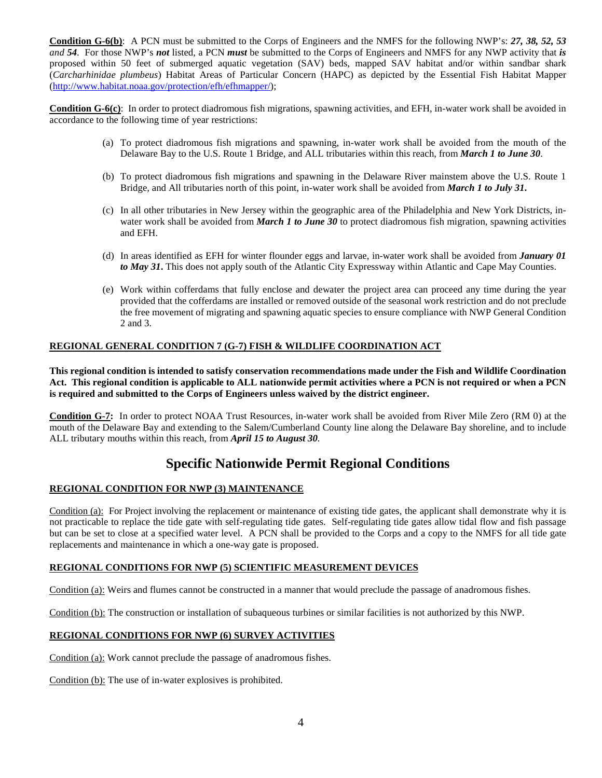**Condition G-6(b)**: A PCN must be submitted to the Corps of Engineers and the NMFS for the following NWP's: *27, 38, 52, 53 and 54*. For those NWP's *not* listed, a PCN *must* be submitted to the Corps of Engineers and NMFS for any NWP activity that *is* proposed within 50 feet of submerged aquatic vegetation (SAV) beds, mapped SAV habitat and/or within sandbar shark (*Carcharhinidae plumbeus*) Habitat Areas of Particular Concern (HAPC) as depicted by the Essential Fish Habitat Mapper [\(http://www.habitat.noaa.gov/protection/efh/efhmapper/\)](http://www.habitat.noaa.gov/protection/efh/efhmapper/);

**Condition G-6(c)**: In order to protect diadromous fish migrations, spawning activities, and EFH, in-water work shall be avoided in accordance to the following time of year restrictions:

- (a) To protect diadromous fish migrations and spawning, in-water work shall be avoided from the mouth of the Delaware Bay to the U.S. Route 1 Bridge, and ALL tributaries within this reach, from *March 1 to June 30*.
- (b) To protect diadromous fish migrations and spawning in the Delaware River mainstem above the U.S. Route 1 Bridge, and All tributaries north of this point, in-water work shall be avoided from *March 1 to July 31***.**
- (c) In all other tributaries in New Jersey within the geographic area of the Philadelphia and New York Districts, inwater work shall be avoided from *March 1 to June 30* to protect diadromous fish migration, spawning activities and EFH.
- (d) In areas identified as EFH for winter flounder eggs and larvae, in-water work shall be avoided from *January 01 to May 31***.** This does not apply south of the Atlantic City Expressway within Atlantic and Cape May Counties.
- (e) Work within cofferdams that fully enclose and dewater the project area can proceed any time during the year provided that the cofferdams are installed or removed outside of the seasonal work restriction and do not preclude the free movement of migrating and spawning aquatic species to ensure compliance with NWP General Condition 2 and 3.

## **REGIONAL GENERAL CONDITION 7 (G-7) FISH & WILDLIFE COORDINATION ACT**

**This regional condition is intended to satisfy conservation recommendations made under the Fish and Wildlife Coordination Act. This regional condition is applicable to ALL nationwide permit activities where a PCN is not required or when a PCN is required and submitted to the Corps of Engineers unless waived by the district engineer.** 

**Condition G-7:** In order to protect NOAA Trust Resources, in-water work shall be avoided from River Mile Zero (RM 0) at the mouth of the Delaware Bay and extending to the Salem/Cumberland County line along the Delaware Bay shoreline, and to include ALL tributary mouths within this reach, from *April 15 to August 30.*

# **Specific Nationwide Permit Regional Conditions**

### **REGIONAL CONDITION FOR NWP (3) MAINTENANCE**

Condition (a): For Project involving the replacement or maintenance of existing tide gates, the applicant shall demonstrate why it is not practicable to replace the tide gate with self-regulating tide gates. Self-regulating tide gates allow tidal flow and fish passage but can be set to close at a specified water level. A PCN shall be provided to the Corps and a copy to the NMFS for all tide gate replacements and maintenance in which a one-way gate is proposed.

### **REGIONAL CONDITIONS FOR NWP (5) SCIENTIFIC MEASUREMENT DEVICES**

Condition (a): Weirs and flumes cannot be constructed in a manner that would preclude the passage of anadromous fishes.

Condition (b): The construction or installation of subaqueous turbines or similar facilities is not authorized by this NWP.

### **REGIONAL CONDITIONS FOR NWP (6) SURVEY ACTIVITIES**

Condition (a): Work cannot preclude the passage of anadromous fishes.

Condition (b): The use of in-water explosives is prohibited.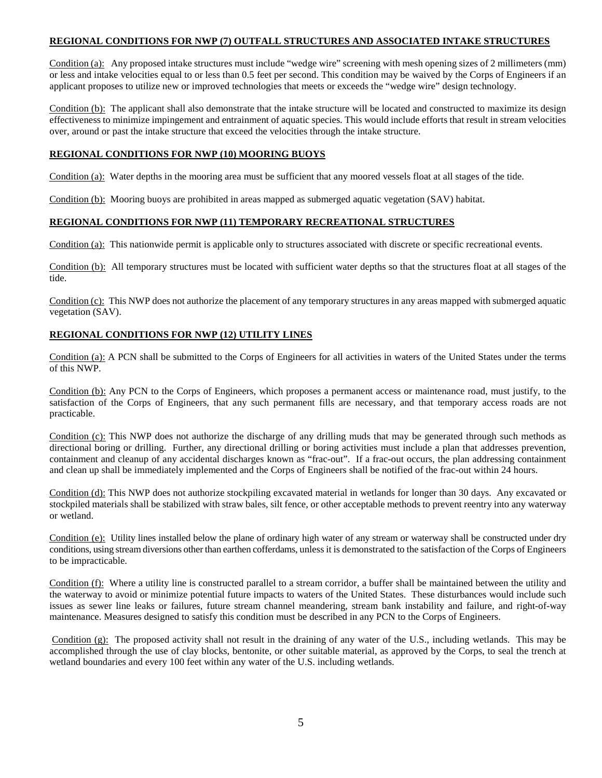### **REGIONAL CONDITIONS FOR NWP (7) OUTFALL STRUCTURES AND ASSOCIATED INTAKE STRUCTURES**

Condition (a): Any proposed intake structures must include "wedge wire" screening with mesh opening sizes of 2 millimeters (mm) or less and intake velocities equal to or less than 0.5 feet per second. This condition may be waived by the Corps of Engineers if an applicant proposes to utilize new or improved technologies that meets or exceeds the "wedge wire" design technology.

Condition (b): The applicant shall also demonstrate that the intake structure will be located and constructed to maximize its design effectiveness to minimize impingement and entrainment of aquatic species. This would include efforts that result in stream velocities over, around or past the intake structure that exceed the velocities through the intake structure.

## **REGIONAL CONDITIONS FOR NWP (10) MOORING BUOYS**

Condition (a): Water depths in the mooring area must be sufficient that any moored vessels float at all stages of the tide.

Condition (b): Mooring buoys are prohibited in areas mapped as submerged aquatic vegetation (SAV) habitat.

### **REGIONAL CONDITIONS FOR NWP (11) TEMPORARY RECREATIONAL STRUCTURES**

Condition (a): This nationwide permit is applicable only to structures associated with discrete or specific recreational events.

Condition (b): All temporary structures must be located with sufficient water depths so that the structures float at all stages of the tide.

Condition (c): This NWP does not authorize the placement of any temporary structures in any areas mapped with submerged aquatic vegetation (SAV).

## **REGIONAL CONDITIONS FOR NWP (12) UTILITY LINES**

Condition (a): A PCN shall be submitted to the Corps of Engineers for all activities in waters of the United States under the terms of this NWP.

Condition (b): Any PCN to the Corps of Engineers, which proposes a permanent access or maintenance road, must justify, to the satisfaction of the Corps of Engineers, that any such permanent fills are necessary, and that temporary access roads are not practicable.

Condition (c): This NWP does not authorize the discharge of any drilling muds that may be generated through such methods as directional boring or drilling. Further, any directional drilling or boring activities must include a plan that addresses prevention, containment and cleanup of any accidental discharges known as "frac-out". If a frac-out occurs, the plan addressing containment and clean up shall be immediately implemented and the Corps of Engineers shall be notified of the frac-out within 24 hours.

Condition (d): This NWP does not authorize stockpiling excavated material in wetlands for longer than 30 days. Any excavated or stockpiled materials shall be stabilized with straw bales, silt fence, or other acceptable methods to prevent reentry into any waterway or wetland.

Condition (e): Utility lines installed below the plane of ordinary high water of any stream or waterway shall be constructed under dry conditions, using stream diversions other than earthen cofferdams, unless it is demonstrated to the satisfaction of the Corps of Engineers to be impracticable.

Condition (f): Where a utility line is constructed parallel to a stream corridor, a buffer shall be maintained between the utility and the waterway to avoid or minimize potential future impacts to waters of the United States. These disturbances would include such issues as sewer line leaks or failures, future stream channel meandering, stream bank instability and failure, and right-of-way maintenance. Measures designed to satisfy this condition must be described in any PCN to the Corps of Engineers.

Condition (g): The proposed activity shall not result in the draining of any water of the U.S., including wetlands. This may be accomplished through the use of clay blocks, bentonite, or other suitable material, as approved by the Corps, to seal the trench at wetland boundaries and every 100 feet within any water of the U.S. including wetlands.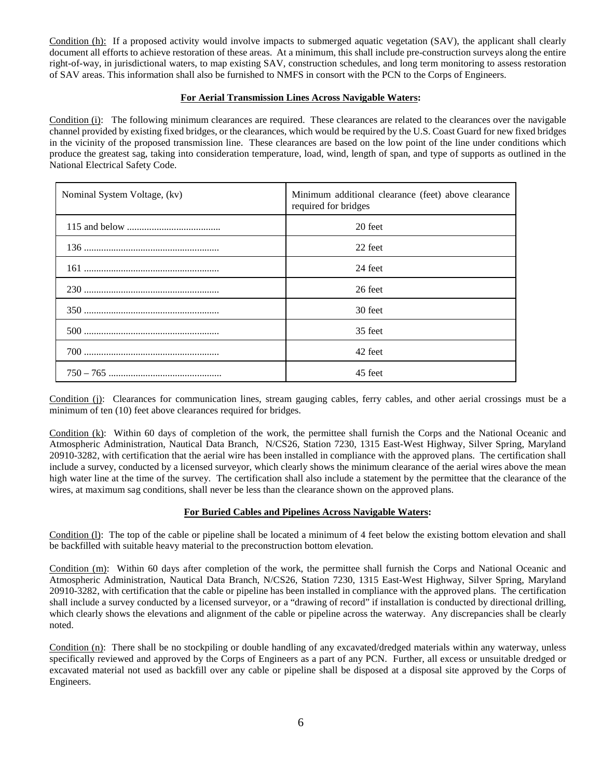Condition (h): If a proposed activity would involve impacts to submerged aquatic vegetation (SAV), the applicant shall clearly document all efforts to achieve restoration of these areas. At a minimum, this shall include pre-construction surveys along the entire right-of-way, in jurisdictional waters, to map existing SAV, construction schedules, and long term monitoring to assess restoration of SAV areas. This information shall also be furnished to NMFS in consort with the PCN to the Corps of Engineers.

### **For Aerial Transmission Lines Across Navigable Waters:**

Condition (i): The following minimum clearances are required. These clearances are related to the clearances over the navigable channel provided by existing fixed bridges, or the clearances, which would be required by the U.S. Coast Guard for new fixed bridges in the vicinity of the proposed transmission line. These clearances are based on the low point of the line under conditions which produce the greatest sag, taking into consideration temperature, load, wind, length of span, and type of supports as outlined in the National Electrical Safety Code.

| Nominal System Voltage, (kv) | Minimum additional clearance (feet) above clearance<br>required for bridges |  |
|------------------------------|-----------------------------------------------------------------------------|--|
|                              | 20 feet                                                                     |  |
|                              | 22 feet                                                                     |  |
|                              | 24 feet                                                                     |  |
|                              | 26 feet                                                                     |  |
|                              | 30 feet                                                                     |  |
|                              | 35 feet                                                                     |  |
|                              | 42 feet                                                                     |  |
|                              | 45 feet                                                                     |  |

Condition (j): Clearances for communication lines, stream gauging cables, ferry cables, and other aerial crossings must be a minimum of ten (10) feet above clearances required for bridges.

Condition (k): Within 60 days of completion of the work, the permittee shall furnish the Corps and the National Oceanic and Atmospheric Administration, Nautical Data Branch, N/CS26, Station 7230, 1315 East-West Highway, Silver Spring, Maryland 20910-3282, with certification that the aerial wire has been installed in compliance with the approved plans. The certification shall include a survey, conducted by a licensed surveyor, which clearly shows the minimum clearance of the aerial wires above the mean high water line at the time of the survey. The certification shall also include a statement by the permittee that the clearance of the wires, at maximum sag conditions, shall never be less than the clearance shown on the approved plans.

### **For Buried Cables and Pipelines Across Navigable Waters:**

Condition (l): The top of the cable or pipeline shall be located a minimum of 4 feet below the existing bottom elevation and shall be backfilled with suitable heavy material to the preconstruction bottom elevation.

Condition (m): Within 60 days after completion of the work, the permittee shall furnish the Corps and National Oceanic and Atmospheric Administration, Nautical Data Branch, N/CS26, Station 7230, 1315 East-West Highway, Silver Spring, Maryland 20910-3282, with certification that the cable or pipeline has been installed in compliance with the approved plans. The certification shall include a survey conducted by a licensed surveyor, or a "drawing of record" if installation is conducted by directional drilling, which clearly shows the elevations and alignment of the cable or pipeline across the waterway. Any discrepancies shall be clearly noted.

Condition (n): There shall be no stockpiling or double handling of any excavated/dredged materials within any waterway, unless specifically reviewed and approved by the Corps of Engineers as a part of any PCN. Further, all excess or unsuitable dredged or excavated material not used as backfill over any cable or pipeline shall be disposed at a disposal site approved by the Corps of Engineers.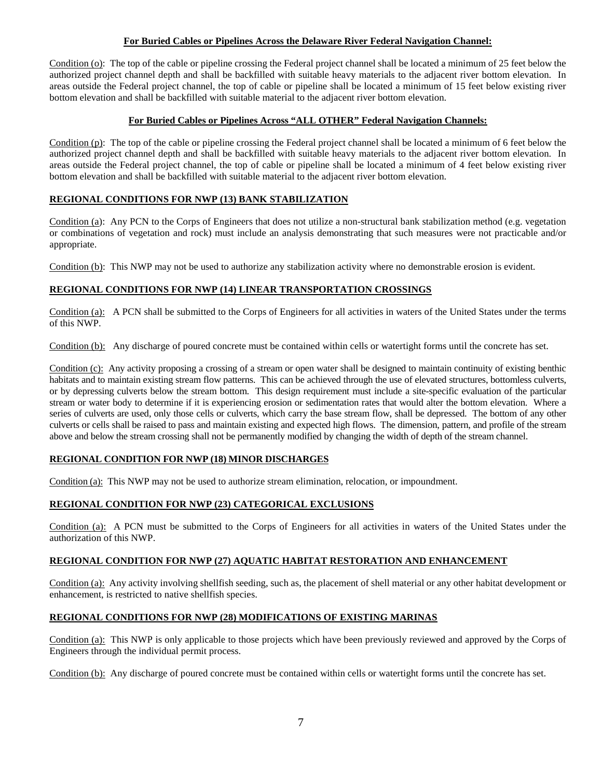## **For Buried Cables or Pipelines Across the Delaware River Federal Navigation Channel:**

Condition (o): The top of the cable or pipeline crossing the Federal project channel shall be located a minimum of 25 feet below the authorized project channel depth and shall be backfilled with suitable heavy materials to the adjacent river bottom elevation. In areas outside the Federal project channel, the top of cable or pipeline shall be located a minimum of 15 feet below existing river bottom elevation and shall be backfilled with suitable material to the adjacent river bottom elevation.

### **For Buried Cables or Pipelines Across "ALL OTHER" Federal Navigation Channels:**

Condition (p): The top of the cable or pipeline crossing the Federal project channel shall be located a minimum of 6 feet below the authorized project channel depth and shall be backfilled with suitable heavy materials to the adjacent river bottom elevation. In areas outside the Federal project channel, the top of cable or pipeline shall be located a minimum of 4 feet below existing river bottom elevation and shall be backfilled with suitable material to the adjacent river bottom elevation.

## **REGIONAL CONDITIONS FOR NWP (13) BANK STABILIZATION**

Condition (a): Any PCN to the Corps of Engineers that does not utilize a non-structural bank stabilization method (e.g. vegetation or combinations of vegetation and rock) must include an analysis demonstrating that such measures were not practicable and/or appropriate.

Condition (b): This NWP may not be used to authorize any stabilization activity where no demonstrable erosion is evident.

### **REGIONAL CONDITIONS FOR NWP (14) LINEAR TRANSPORTATION CROSSINGS**

Condition (a): A PCN shall be submitted to the Corps of Engineers for all activities in waters of the United States under the terms of this NWP.

Condition (b): Any discharge of poured concrete must be contained within cells or watertight forms until the concrete has set.

Condition (c): Any activity proposing a crossing of a stream or open water shall be designed to maintain continuity of existing benthic habitats and to maintain existing stream flow patterns. This can be achieved through the use of elevated structures, bottomless culverts, or by depressing culverts below the stream bottom. This design requirement must include a site-specific evaluation of the particular stream or water body to determine if it is experiencing erosion or sedimentation rates that would alter the bottom elevation. Where a series of culverts are used, only those cells or culverts, which carry the base stream flow, shall be depressed. The bottom of any other culverts or cells shall be raised to pass and maintain existing and expected high flows. The dimension, pattern, and profile of the stream above and below the stream crossing shall not be permanently modified by changing the width of depth of the stream channel.

# **REGIONAL CONDITION FOR NWP (18) MINOR DISCHARGES**

Condition (a): This NWP may not be used to authorize stream elimination, relocation, or impoundment.

# **REGIONAL CONDITION FOR NWP (23) CATEGORICAL EXCLUSIONS**

Condition (a): A PCN must be submitted to the Corps of Engineers for all activities in waters of the United States under the authorization of this NWP.

### **REGIONAL CONDITION FOR NWP (27) AQUATIC HABITAT RESTORATION AND ENHANCEMENT**

Condition (a): Any activity involving shellfish seeding, such as, the placement of shell material or any other habitat development or enhancement, is restricted to native shellfish species.

### **REGIONAL CONDITIONS FOR NWP (28) MODIFICATIONS OF EXISTING MARINAS**

Condition (a): This NWP is only applicable to those projects which have been previously reviewed and approved by the Corps of Engineers through the individual permit process.

Condition (b): Any discharge of poured concrete must be contained within cells or watertight forms until the concrete has set.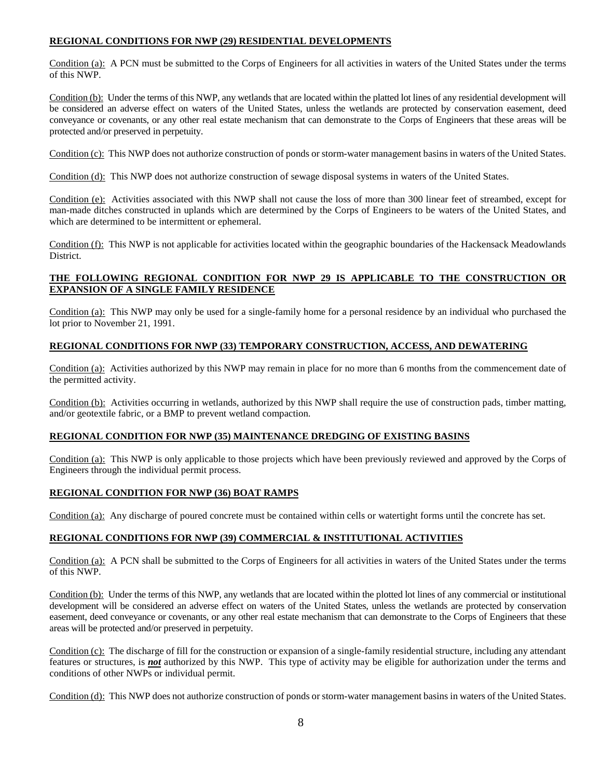## **REGIONAL CONDITIONS FOR NWP (29) RESIDENTIAL DEVELOPMENTS**

Condition (a): A PCN must be submitted to the Corps of Engineers for all activities in waters of the United States under the terms of this NWP.

Condition (b): Under the terms of this NWP, any wetlands that are located within the platted lot lines of any residential development will be considered an adverse effect on waters of the United States, unless the wetlands are protected by conservation easement, deed conveyance or covenants, or any other real estate mechanism that can demonstrate to the Corps of Engineers that these areas will be protected and/or preserved in perpetuity.

Condition (c): This NWP does not authorize construction of ponds or storm-water management basins in waters of the United States.

Condition (d): This NWP does not authorize construction of sewage disposal systems in waters of the United States.

Condition (e): Activities associated with this NWP shall not cause the loss of more than 300 linear feet of streambed, except for man-made ditches constructed in uplands which are determined by the Corps of Engineers to be waters of the United States, and which are determined to be intermittent or ephemeral.

Condition (f): This NWP is not applicable for activities located within the geographic boundaries of the Hackensack Meadowlands District.

### **THE FOLLOWING REGIONAL CONDITION FOR NWP 29 IS APPLICABLE TO THE CONSTRUCTION OR EXPANSION OF A SINGLE FAMILY RESIDENCE**

Condition (a): This NWP may only be used for a single-family home for a personal residence by an individual who purchased the lot prior to November 21, 1991.

### **REGIONAL CONDITIONS FOR NWP (33) TEMPORARY CONSTRUCTION, ACCESS, AND DEWATERING**

Condition (a): Activities authorized by this NWP may remain in place for no more than 6 months from the commencement date of the permitted activity.

Condition (b): Activities occurring in wetlands, authorized by this NWP shall require the use of construction pads, timber matting, and/or geotextile fabric, or a BMP to prevent wetland compaction.

### **REGIONAL CONDITION FOR NWP (35) MAINTENANCE DREDGING OF EXISTING BASINS**

Condition (a): This NWP is only applicable to those projects which have been previously reviewed and approved by the Corps of Engineers through the individual permit process.

### **REGIONAL CONDITION FOR NWP (36) BOAT RAMPS**

Condition (a): Any discharge of poured concrete must be contained within cells or watertight forms until the concrete has set.

### **REGIONAL CONDITIONS FOR NWP (39) COMMERCIAL & INSTITUTIONAL ACTIVITIES**

Condition (a): A PCN shall be submitted to the Corps of Engineers for all activities in waters of the United States under the terms of this NWP.

Condition (b): Under the terms of this NWP, any wetlands that are located within the plotted lot lines of any commercial or institutional development will be considered an adverse effect on waters of the United States, unless the wetlands are protected by conservation easement, deed conveyance or covenants, or any other real estate mechanism that can demonstrate to the Corps of Engineers that these areas will be protected and/or preserved in perpetuity.

Condition (c): The discharge of fill for the construction or expansion of a single-family residential structure, including any attendant features or structures, is *not* authorized by this NWP. This type of activity may be eligible for authorization under the terms and conditions of other NWPs or individual permit.

Condition (d): This NWP does not authorize construction of ponds or storm-water management basins in waters of the United States.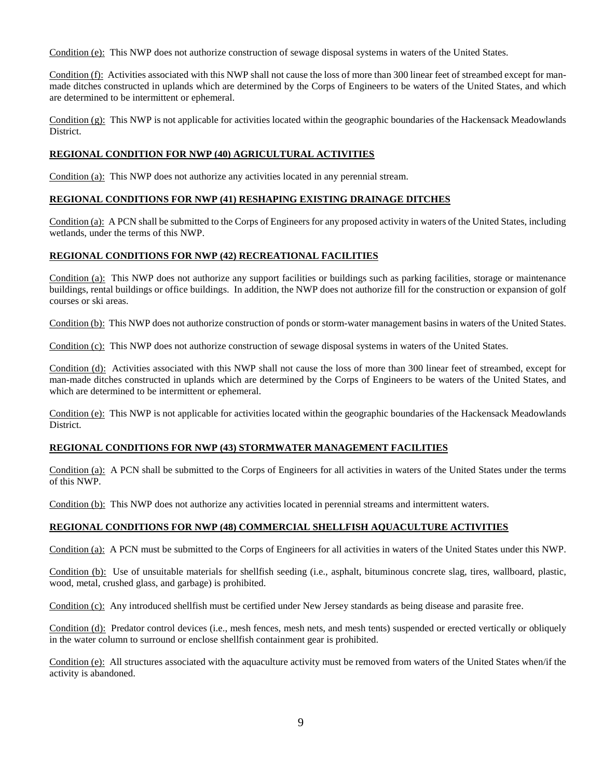Condition (e): This NWP does not authorize construction of sewage disposal systems in waters of the United States.

Condition (f): Activities associated with this NWP shall not cause the loss of more than 300 linear feet of streambed except for manmade ditches constructed in uplands which are determined by the Corps of Engineers to be waters of the United States, and which are determined to be intermittent or ephemeral.

Condition (g): This NWP is not applicable for activities located within the geographic boundaries of the Hackensack Meadowlands District.

## **REGIONAL CONDITION FOR NWP (40) AGRICULTURAL ACTIVITIES**

Condition (a): This NWP does not authorize any activities located in any perennial stream.

### **REGIONAL CONDITIONS FOR NWP (41) RESHAPING EXISTING DRAINAGE DITCHES**

Condition (a): A PCN shall be submitted to the Corps of Engineers for any proposed activity in waters of the United States, including wetlands, under the terms of this NWP.

## **REGIONAL CONDITIONS FOR NWP (42) RECREATIONAL FACILITIES**

Condition (a): This NWP does not authorize any support facilities or buildings such as parking facilities, storage or maintenance buildings, rental buildings or office buildings. In addition, the NWP does not authorize fill for the construction or expansion of golf courses or ski areas.

Condition (b): This NWP does not authorize construction of ponds or storm-water management basins in waters of the United States.

Condition (c): This NWP does not authorize construction of sewage disposal systems in waters of the United States.

Condition (d): Activities associated with this NWP shall not cause the loss of more than 300 linear feet of streambed, except for man-made ditches constructed in uplands which are determined by the Corps of Engineers to be waters of the United States, and which are determined to be intermittent or ephemeral.

Condition (e): This NWP is not applicable for activities located within the geographic boundaries of the Hackensack Meadowlands District.

### **REGIONAL CONDITIONS FOR NWP (43) STORMWATER MANAGEMENT FACILITIES**

Condition (a): A PCN shall be submitted to the Corps of Engineers for all activities in waters of the United States under the terms of this NWP.

Condition (b): This NWP does not authorize any activities located in perennial streams and intermittent waters.

### **REGIONAL CONDITIONS FOR NWP (48) COMMERCIAL SHELLFISH AQUACULTURE ACTIVITIES**

Condition (a): A PCN must be submitted to the Corps of Engineers for all activities in waters of the United States under this NWP.

Condition (b): Use of unsuitable materials for shellfish seeding (i.e., asphalt, bituminous concrete slag, tires, wallboard, plastic, wood, metal, crushed glass, and garbage) is prohibited.

Condition (c): Any introduced shellfish must be certified under New Jersey standards as being disease and parasite free.

Condition (d): Predator control devices (i.e., mesh fences, mesh nets, and mesh tents) suspended or erected vertically or obliquely in the water column to surround or enclose shellfish containment gear is prohibited.

Condition  $(e)$ : All structures associated with the aquaculture activity must be removed from waters of the United States when/if the activity is abandoned.